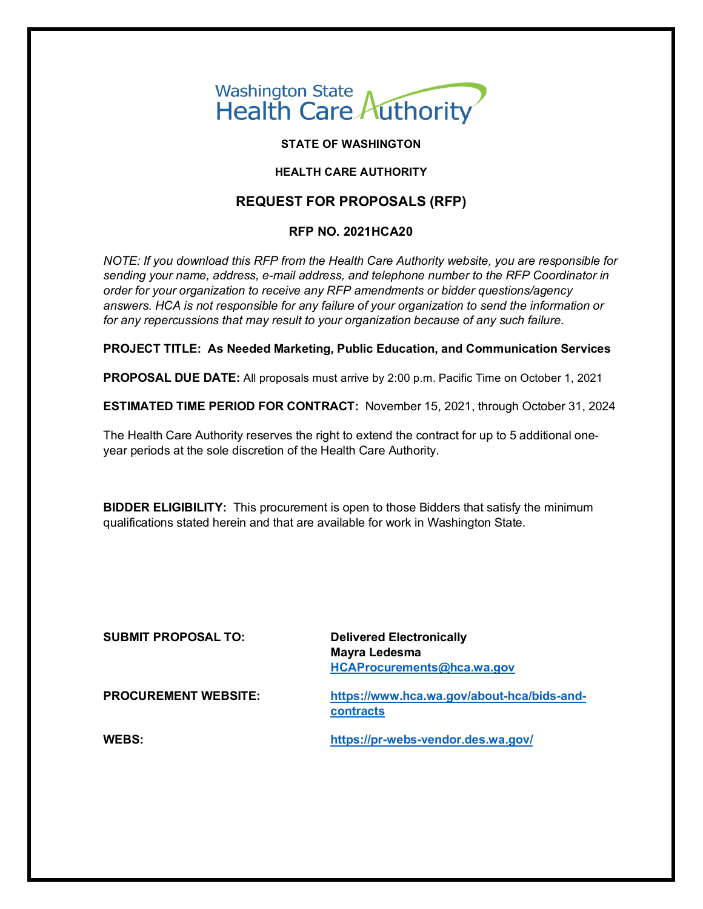## Washington State<br>Health Care Authority

#### **STATE OF WASHINGTON**

#### **HEALTH CARE AUTHORITY**

#### **REQUEST FOR PROPOSALS (RFP)**

#### **RFP NO. 2021HCA20**

*NOTE: If you download this RFP from the Health Care Authority website, you are responsible for sending your name, address, e-mail address, and telephone number to the RFP Coordinator in order for your organization to receive any RFP amendments or bidder questions/agency answers. HCA is not responsible for any failure of your organization to send the information or for any repercussions that may result to your organization because of any such failure.*

**PROJECT TITLE: As Needed Marketing, Public Education, and Communication Services**

**PROPOSAL DUE DATE:** All proposals must arrive by 2:00 p.m. Pacific Time on October 1, 2021

**ESTIMATED TIME PERIOD FOR CONTRACT:** November 15, 2021, through October 31, 2024

The Health Care Authority reserves the right to extend the contract for up to 5 additional oneyear periods at the sole discretion of the Health Care Authority.

**BIDDER ELIGIBILITY:** This procurement is open to those Bidders that satisfy the minimum qualifications stated herein and that are available for work in Washington State.

**SUBMIT PROPOSAL TO: Delivered Electronically**

**Mayra Ledesma [HCAProcurements@hca.wa.gov](mailto:HCAProcurements@hca.wa.gov)**

**PROCUREMENT WEBSITE: [https://www.hca.wa.gov/about-hca/bids-and](https://www.hca.wa.gov/about-hca/bids-and-contracts)[contracts](https://www.hca.wa.gov/about-hca/bids-and-contracts)**

**WEBS: <https://pr-webs-vendor.des.wa.gov/>**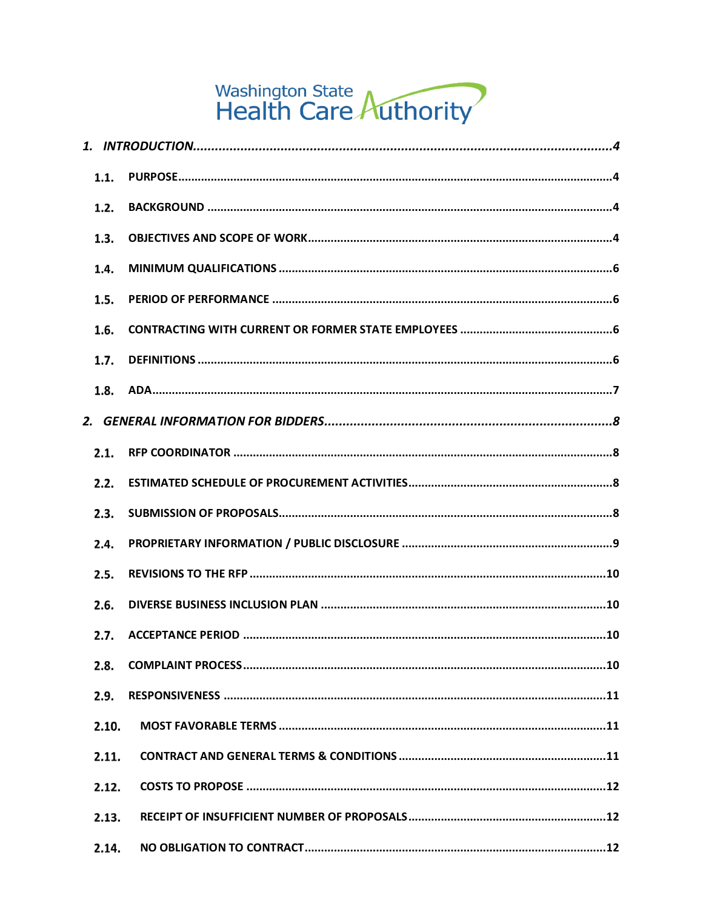# Washington State<br>Health Care Authority

| 1.1.  |  |
|-------|--|
| 1.2.  |  |
| 1.3.  |  |
| 1.4.  |  |
| 1.5.  |  |
| 1.6.  |  |
| 1.7.  |  |
| 1.8.  |  |
|       |  |
| 2.1.  |  |
| 2.2.  |  |
| 2.3.  |  |
| 2.4.  |  |
| 2.5.  |  |
| 2.6.  |  |
| 2.7.  |  |
| 2.8.  |  |
| 2.9.  |  |
| 2.10. |  |
| 2.11. |  |
| 2.12. |  |
| 2.13. |  |
| 2.14. |  |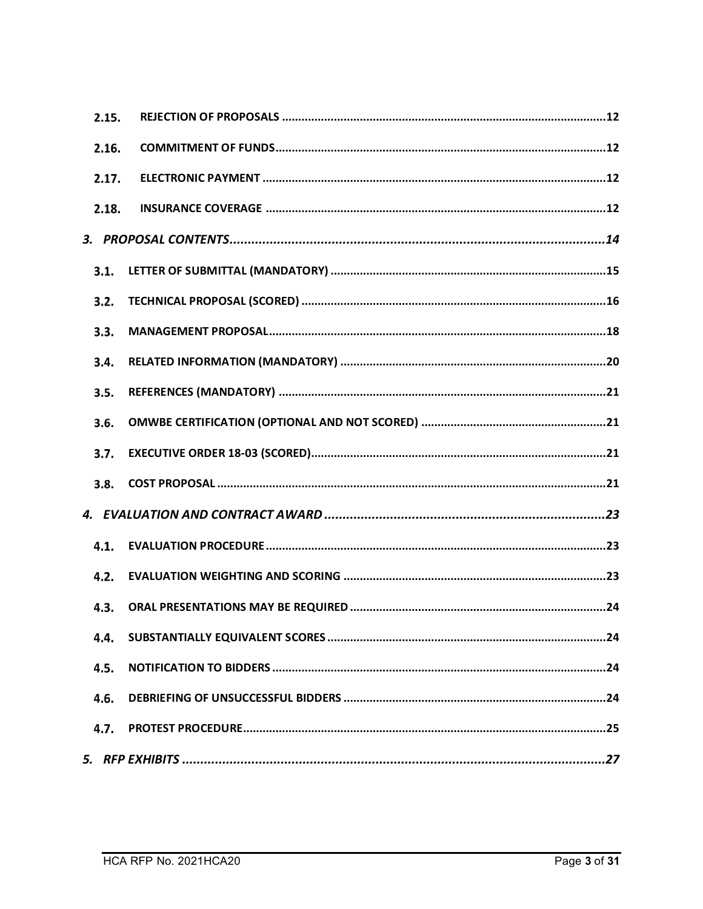| 2.15. |  |
|-------|--|
| 2.16. |  |
| 2.17. |  |
| 2.18. |  |
|       |  |
| 3.1.  |  |
| 3.2.  |  |
| 3.3.  |  |
| 3.4.  |  |
| 3.5.  |  |
| 3.6.  |  |
| 3.7.  |  |
| 3.8.  |  |
|       |  |
| 4.1.  |  |
| 4.2.  |  |
| 4.3.  |  |
| 4.4.  |  |
| 4.5.  |  |
| 4.6.  |  |
| 4.7.  |  |
|       |  |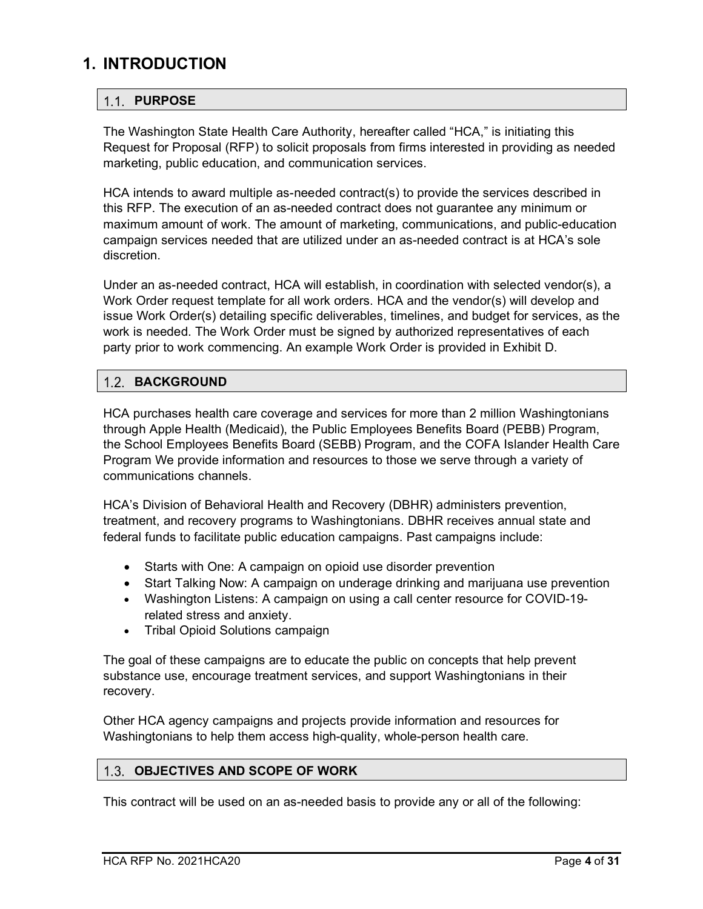## <span id="page-3-0"></span>**1. INTRODUCTION**

#### <span id="page-3-1"></span>1.1. PURPOSE

The Washington State Health Care Authority, hereafter called "HCA," is initiating this Request for Proposal (RFP) to solicit proposals from firms interested in providing as needed marketing, public education, and communication services.

HCA intends to award multiple as-needed contract(s) to provide the services described in this RFP. The execution of an as-needed contract does not guarantee any minimum or maximum amount of work. The amount of marketing, communications, and public-education campaign services needed that are utilized under an as-needed contract is at HCA's sole discretion.

Under an as-needed contract, HCA will establish, in coordination with selected vendor(s), a Work Order request template for all work orders. HCA and the vendor(s) will develop and issue Work Order(s) detailing specific deliverables, timelines, and budget for services, as the work is needed. The Work Order must be signed by authorized representatives of each party prior to work commencing. An example Work Order is provided in Exhibit D.

#### <span id="page-3-2"></span>**1.2. BACKGROUND**

HCA purchases health care coverage and services for more than 2 million Washingtonians through Apple Health (Medicaid), the Public Employees Benefits Board (PEBB) Program, the School Employees Benefits Board (SEBB) Program, and the COFA Islander Health Care Program We provide information and resources to those we serve through a variety of communications channels.

HCA's Division of Behavioral Health and Recovery (DBHR) administers prevention, treatment, and recovery programs to Washingtonians. DBHR receives annual state and federal funds to facilitate public education campaigns. Past campaigns include:

- Starts with One: A campaign on opioid use disorder prevention
- Start Talking Now: A campaign on underage drinking and marijuana use prevention
- Washington Listens: A campaign on using a call center resource for COVID-19 related stress and anxiety.
- Tribal Opioid Solutions campaign

The goal of these campaigns are to educate the public on concepts that help prevent substance use, encourage treatment services, and support Washingtonians in their recovery.

Other HCA agency campaigns and projects provide information and resources for Washingtonians to help them access high-quality, whole-person health care.

#### <span id="page-3-3"></span>**OBJECTIVES AND SCOPE OF WORK**

This contract will be used on an as-needed basis to provide any or all of the following: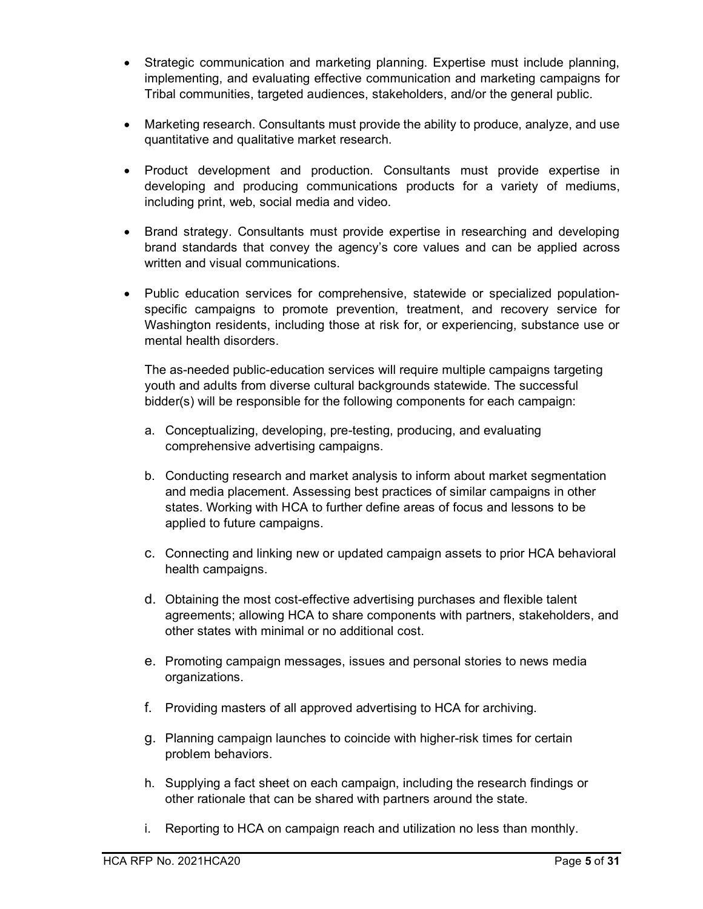- Strategic communication and marketing planning. Expertise must include planning, implementing, and evaluating effective communication and marketing campaigns for Tribal communities, targeted audiences, stakeholders, and/or the general public.
- Marketing research. Consultants must provide the ability to produce, analyze, and use quantitative and qualitative market research.
- Product development and production. Consultants must provide expertise in developing and producing communications products for a variety of mediums, including print, web, social media and video.
- Brand strategy. Consultants must provide expertise in researching and developing brand standards that convey the agency's core values and can be applied across written and visual communications.
- Public education services for comprehensive, statewide or specialized populationspecific campaigns to promote prevention, treatment, and recovery service for Washington residents, including those at risk for, or experiencing, substance use or mental health disorders.

The as-needed public-education services will require multiple campaigns targeting youth and adults from diverse cultural backgrounds statewide. The successful bidder(s) will be responsible for the following components for each campaign:

- a. Conceptualizing, developing, pre-testing, producing, and evaluating comprehensive advertising campaigns.
- b. Conducting research and market analysis to inform about market segmentation and media placement. Assessing best practices of similar campaigns in other states. Working with HCA to further define areas of focus and lessons to be applied to future campaigns.
- c. Connecting and linking new or updated campaign assets to prior HCA behavioral health campaigns.
- d. Obtaining the most cost-effective advertising purchases and flexible talent agreements; allowing HCA to share components with partners, stakeholders, and other states with minimal or no additional cost.
- e. Promoting campaign messages, issues and personal stories to news media organizations.
- f. Providing masters of all approved advertising to HCA for archiving.
- g. Planning campaign launches to coincide with higher-risk times for certain problem behaviors.
- h. Supplying a fact sheet on each campaign, including the research findings or other rationale that can be shared with partners around the state.
- i. Reporting to HCA on campaign reach and utilization no less than monthly.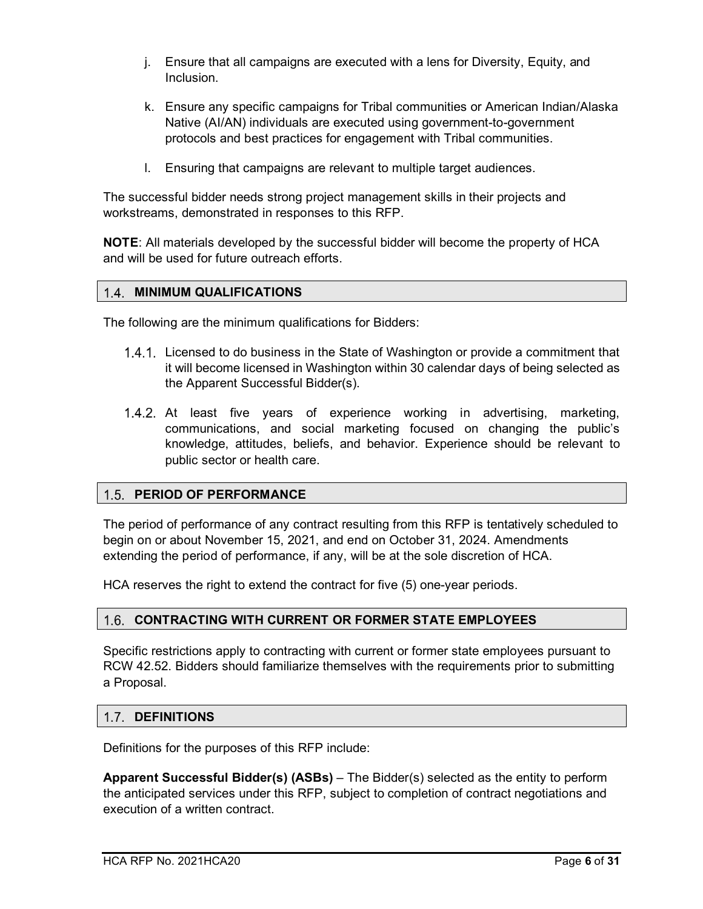- j. Ensure that all campaigns are executed with a lens for Diversity, Equity, and Inclusion.
- k. Ensure any specific campaigns for Tribal communities or American Indian/Alaska Native (AI/AN) individuals are executed using government-to-government protocols and best practices for engagement with Tribal communities.
- l. Ensuring that campaigns are relevant to multiple target audiences.

The successful bidder needs strong project management skills in their projects and workstreams, demonstrated in responses to this RFP.

**NOTE**: All materials developed by the successful bidder will become the property of HCA and will be used for future outreach efforts.

#### <span id="page-5-0"></span>**MINIMUM QUALIFICATIONS**

The following are the minimum qualifications for Bidders:

- Licensed to do business in the State of Washington or provide a commitment that it will become licensed in Washington within 30 calendar days of being selected as the Apparent Successful Bidder(s).
- 1.4.2. At least five years of experience working in advertising, marketing, communications, and social marketing focused on changing the public's knowledge, attitudes, beliefs, and behavior. Experience should be relevant to public sector or health care.

#### <span id="page-5-1"></span>**PERIOD OF PERFORMANCE**

The period of performance of any contract resulting from this RFP is tentatively scheduled to begin on or about November 15, 2021, and end on October 31, 2024. Amendments extending the period of performance, if any, will be at the sole discretion of HCA.

HCA reserves the right to extend the contract for five (5) one-year periods.

#### <span id="page-5-2"></span>**CONTRACTING WITH CURRENT OR FORMER STATE EMPLOYEES**

Specific restrictions apply to contracting with current or former state employees pursuant to RCW 42.52. Bidders should familiarize themselves with the requirements prior to submitting a Proposal.

#### <span id="page-5-3"></span>**1.7. DEFINITIONS**

Definitions for the purposes of this RFP include:

**Apparent Successful Bidder(s) (ASBs)** – The Bidder(s) selected as the entity to perform the anticipated services under this RFP, subject to completion of contract negotiations and execution of a written contract.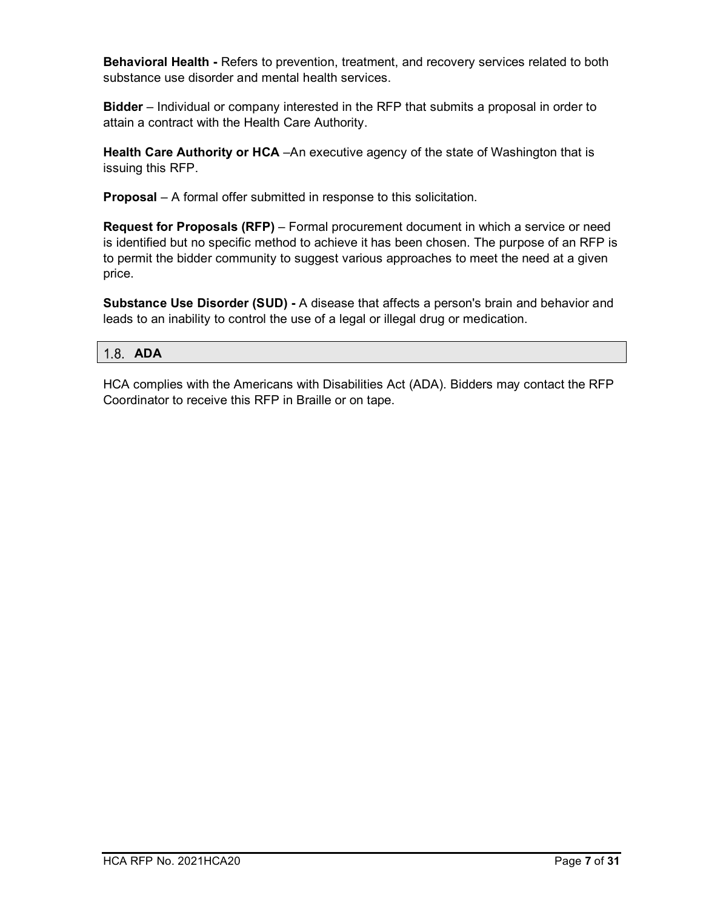**Behavioral Health -** Refers to prevention, treatment, and recovery services related to both substance use disorder and mental health services.

**Bidder** – Individual or company interested in the RFP that submits a proposal in order to attain a contract with the Health Care Authority.

**Health Care Authority or HCA** –An executive agency of the state of Washington that is issuing this RFP.

**Proposal** – A formal offer submitted in response to this solicitation.

**Request for Proposals (RFP)** – Formal procurement document in which a service or need is identified but no specific method to achieve it has been chosen. The purpose of an RFP is to permit the bidder community to suggest various approaches to meet the need at a given price.

**Substance Use Disorder (SUD) -** A disease that affects a person's brain and behavior and leads to an inability to control the use of a legal or illegal drug or medication.

#### <span id="page-6-0"></span>**ADA**

HCA complies with the Americans with Disabilities Act (ADA). Bidders may contact the RFP Coordinator to receive this RFP in Braille or on tape.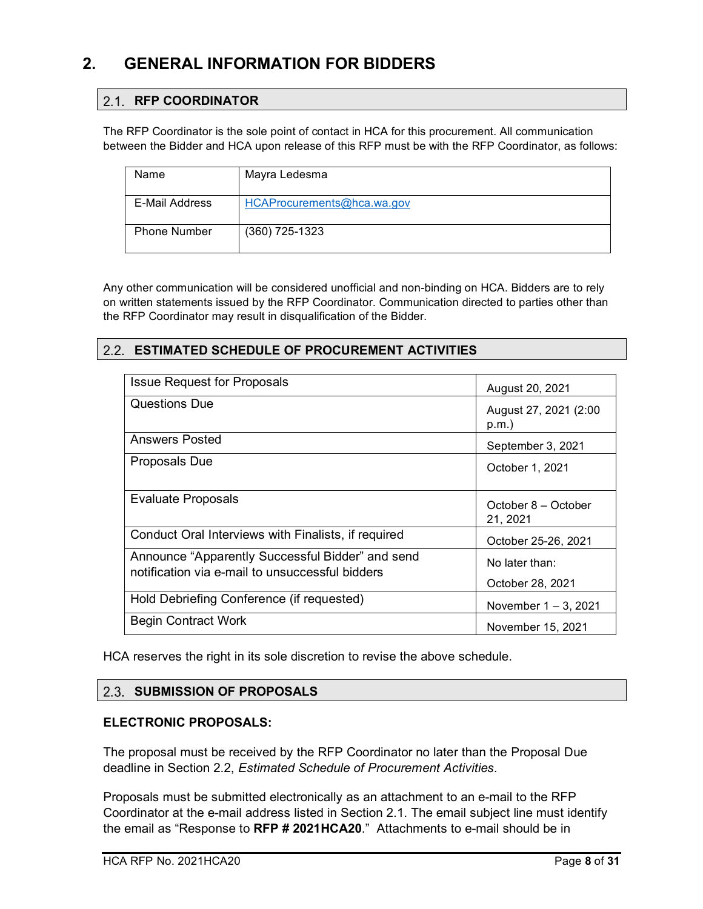## <span id="page-7-0"></span>**2. GENERAL INFORMATION FOR BIDDERS**

#### <span id="page-7-1"></span>2.1. RFP COORDINATOR

The RFP Coordinator is the sole point of contact in HCA for this procurement. All communication between the Bidder and HCA upon release of this RFP must be with the RFP Coordinator, as follows:

| Name                | Mayra Ledesma              |
|---------------------|----------------------------|
| E-Mail Address      | HCAProcurements@hca.wa.gov |
|                     |                            |
| <b>Phone Number</b> | $(360)$ 725-1323           |
|                     |                            |

Any other communication will be considered unofficial and non-binding on HCA. Bidders are to rely on written statements issued by the RFP Coordinator. Communication directed to parties other than the RFP Coordinator may result in disqualification of the Bidder.

#### <span id="page-7-2"></span>**ESTIMATED SCHEDULE OF PROCUREMENT ACTIVITIES**

| <b>Issue Request for Proposals</b>                                                                  | August 20, 2021                    |
|-----------------------------------------------------------------------------------------------------|------------------------------------|
| Questions Due                                                                                       | August 27, 2021 (2:00<br>p.m.      |
| Answers Posted                                                                                      | September 3, 2021                  |
| Proposals Due                                                                                       | October 1, 2021                    |
| <b>Evaluate Proposals</b>                                                                           | October 8 – October<br>21, 2021    |
| Conduct Oral Interviews with Finalists, if required                                                 | October 25-26, 2021                |
| Announce "Apparently Successful Bidder" and send<br>notification via e-mail to unsuccessful bidders | No later than:<br>October 28, 2021 |
| Hold Debriefing Conference (if requested)                                                           | November 1 – 3, 2021               |
| <b>Begin Contract Work</b>                                                                          | November 15, 2021                  |

HCA reserves the right in its sole discretion to revise the above schedule.

#### <span id="page-7-3"></span>**2.3. SUBMISSION OF PROPOSALS**

#### **ELECTRONIC PROPOSALS:**

The proposal must be received by the RFP Coordinator no later than the Proposal Due deadline in Section [2.2,](#page-7-2) *Estimated Schedule of Procurement Activities*.

Proposals must be submitted electronically as an attachment to an e-mail to the RFP Coordinator at the e-mail address listed in Section [2.1.](#page-7-1) The email subject line must identify the email as "Response to **RFP # 2021HCA20**." Attachments to e-mail should be in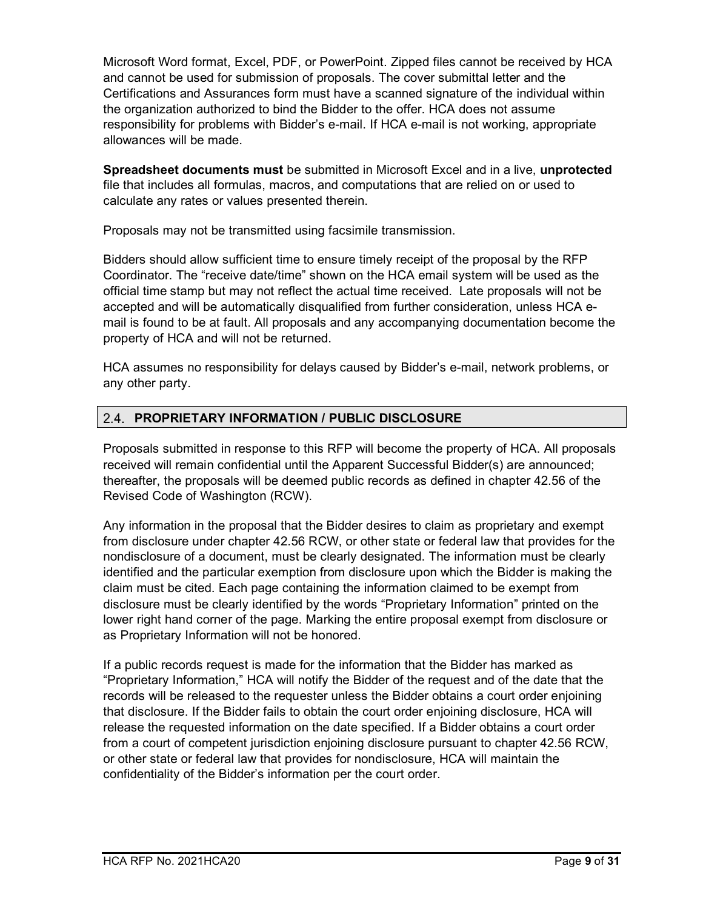Microsoft Word format, Excel, PDF, or PowerPoint. Zipped files cannot be received by HCA and cannot be used for submission of proposals. The cover submittal letter and the Certifications and Assurances form must have a scanned signature of the individual within the organization authorized to bind the Bidder to the offer. HCA does not assume responsibility for problems with Bidder's e-mail. If HCA e-mail is not working, appropriate allowances will be made.

**Spreadsheet documents must** be submitted in Microsoft Excel and in a live, **unprotected**  file that includes all formulas, macros, and computations that are relied on or used to calculate any rates or values presented therein.

Proposals may not be transmitted using facsimile transmission.

Bidders should allow sufficient time to ensure timely receipt of the proposal by the RFP Coordinator. The "receive date/time" shown on the HCA email system will be used as the official time stamp but may not reflect the actual time received. Late proposals will not be accepted and will be automatically disqualified from further consideration, unless HCA email is found to be at fault. All proposals and any accompanying documentation become the property of HCA and will not be returned.

HCA assumes no responsibility for delays caused by Bidder's e-mail, network problems, or any other party.

#### <span id="page-8-0"></span>**PROPRIETARY INFORMATION / PUBLIC DISCLOSURE**

Proposals submitted in response to this RFP will become the property of HCA. All proposals received will remain confidential until the Apparent Successful Bidder(s) are announced; thereafter, the proposals will be deemed public records as defined in chapter 42.56 of the Revised Code of Washington (RCW).

Any information in the proposal that the Bidder desires to claim as proprietary and exempt from disclosure under chapter 42.56 RCW, or other state or federal law that provides for the nondisclosure of a document, must be clearly designated. The information must be clearly identified and the particular exemption from disclosure upon which the Bidder is making the claim must be cited. Each page containing the information claimed to be exempt from disclosure must be clearly identified by the words "Proprietary Information" printed on the lower right hand corner of the page. Marking the entire proposal exempt from disclosure or as Proprietary Information will not be honored.

If a public records request is made for the information that the Bidder has marked as "Proprietary Information," HCA will notify the Bidder of the request and of the date that the records will be released to the requester unless the Bidder obtains a court order enjoining that disclosure. If the Bidder fails to obtain the court order enjoining disclosure, HCA will release the requested information on the date specified. If a Bidder obtains a court order from a court of competent jurisdiction enjoining disclosure pursuant to chapter 42.56 RCW, or other state or federal law that provides for nondisclosure, HCA will maintain the confidentiality of the Bidder's information per the court order.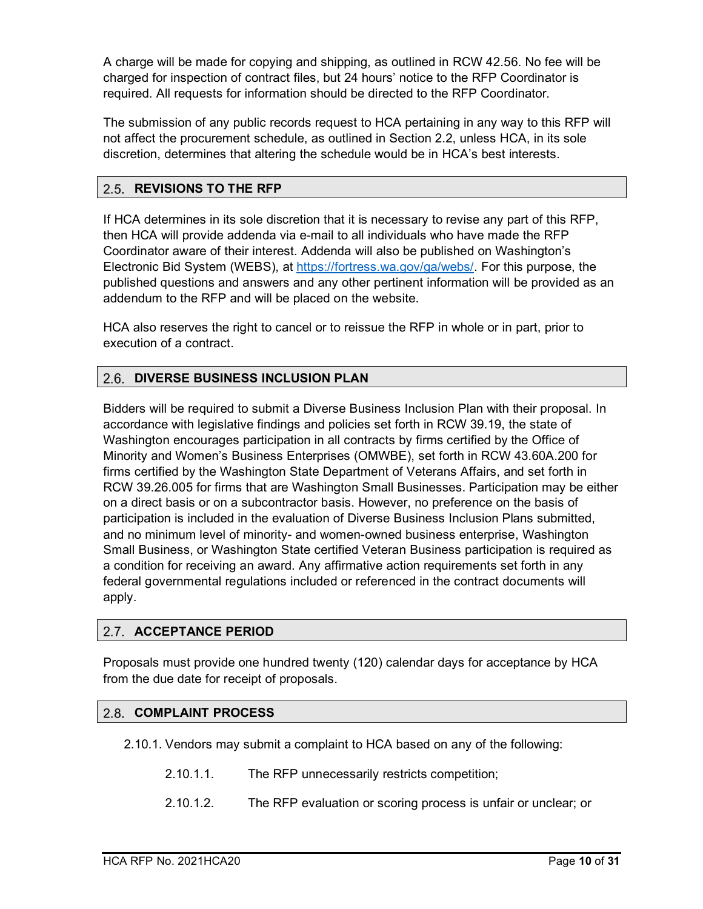A charge will be made for copying and shipping, as outlined in RCW 42.56. No fee will be charged for inspection of contract files, but 24 hours' notice to the RFP Coordinator is required. All requests for information should be directed to the RFP Coordinator.

The submission of any public records request to HCA pertaining in any way to this RFP will not affect the procurement schedule, as outlined in Section [2.2,](#page-7-2) unless HCA, in its sole discretion, determines that altering the schedule would be in HCA's best interests.

#### <span id="page-9-0"></span>**REVISIONS TO THE RFP**

If HCA determines in its sole discretion that it is necessary to revise any part of this RFP, then HCA will provide addenda via e-mail to all individuals who have made the RFP Coordinator aware of their interest. Addenda will also be published on Washington's Electronic Bid System (WEBS), at [https://fortress.wa.gov/ga/webs/.](https://fortress.wa.gov/ga/webs/) For this purpose, the published questions and answers and any other pertinent information will be provided as an addendum to the RFP and will be placed on the website.

HCA also reserves the right to cancel or to reissue the RFP in whole or in part, prior to execution of a contract.

#### <span id="page-9-1"></span>**DIVERSE BUSINESS INCLUSION PLAN**

Bidders will be required to submit a Diverse Business Inclusion Plan with their proposal. In accordance with legislative findings and policies set forth in RCW 39.19, the state of Washington encourages participation in all contracts by firms certified by the Office of Minority and Women's Business Enterprises (OMWBE), set forth in RCW 43.60A.200 for firms certified by the Washington State Department of Veterans Affairs, and set forth in RCW 39.26.005 for firms that are Washington Small Businesses. Participation may be either on a direct basis or on a subcontractor basis. However, no preference on the basis of participation is included in the evaluation of Diverse Business Inclusion Plans submitted, and no minimum level of minority- and women-owned business enterprise, Washington Small Business, or Washington State certified Veteran Business participation is required as a condition for receiving an award. Any affirmative action requirements set forth in any federal governmental regulations included or referenced in the contract documents will apply.

#### <span id="page-9-2"></span>2.7. ACCEPTANCE PERIOD

Proposals must provide one hundred twenty (120) calendar days for acceptance by HCA from the due date for receipt of proposals.

#### <span id="page-9-3"></span>**COMPLAINT PROCESS**

2.10.1. Vendors may submit a complaint to HCA based on any of the following:

- 2.10.1.1. The RFP unnecessarily restricts competition;
- 2.10.1.2. The RFP evaluation or scoring process is unfair or unclear; or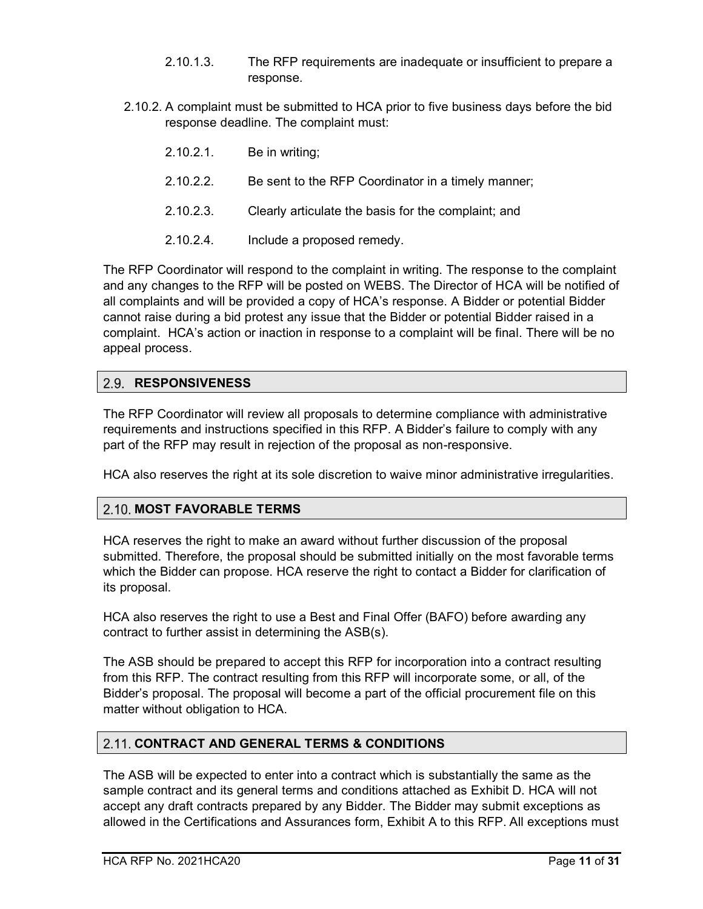- 2.10.1.3. The RFP requirements are inadequate or insufficient to prepare a response.
- 2.10.2. A complaint must be submitted to HCA prior to five business days before the bid response deadline. The complaint must:
	- 2.10.2.1. Be in writing;
	- 2.10.2.2. Be sent to the RFP Coordinator in a timely manner;
	- 2.10.2.3. Clearly articulate the basis for the complaint; and
	- 2.10.2.4. Include a proposed remedy.

The RFP Coordinator will respond to the complaint in writing. The response to the complaint and any changes to the RFP will be posted on WEBS. The Director of HCA will be notified of all complaints and will be provided a copy of HCA's response. A Bidder or potential Bidder cannot raise during a bid protest any issue that the Bidder or potential Bidder raised in a complaint. HCA's action or inaction in response to a complaint will be final. There will be no appeal process.

#### <span id="page-10-0"></span>**RESPONSIVENESS**

The RFP Coordinator will review all proposals to determine compliance with administrative requirements and instructions specified in this RFP. A Bidder's failure to comply with any part of the RFP may result in rejection of the proposal as non-responsive.

HCA also reserves the right at its sole discretion to waive minor administrative irregularities.

#### <span id="page-10-1"></span>**MOST FAVORABLE TERMS**

HCA reserves the right to make an award without further discussion of the proposal submitted. Therefore, the proposal should be submitted initially on the most favorable terms which the Bidder can propose. HCA reserve the right to contact a Bidder for clarification of its proposal.

HCA also reserves the right to use a Best and Final Offer (BAFO) before awarding any contract to further assist in determining the ASB(s).

The ASB should be prepared to accept this RFP for incorporation into a contract resulting from this RFP. The contract resulting from this RFP will incorporate some, or all, of the Bidder's proposal. The proposal will become a part of the official procurement file on this matter without obligation to HCA.

#### <span id="page-10-2"></span>**2.11. CONTRACT AND GENERAL TERMS & CONDITIONS**

The ASB will be expected to enter into a contract which is substantially the same as the sample contract and its general terms and conditions attached as Exhibit D. HCA will not accept any draft contracts prepared by any Bidder. The Bidder may submit exceptions as allowed in the Certifications and Assurances form, Exhibit A to this RFP. All exceptions must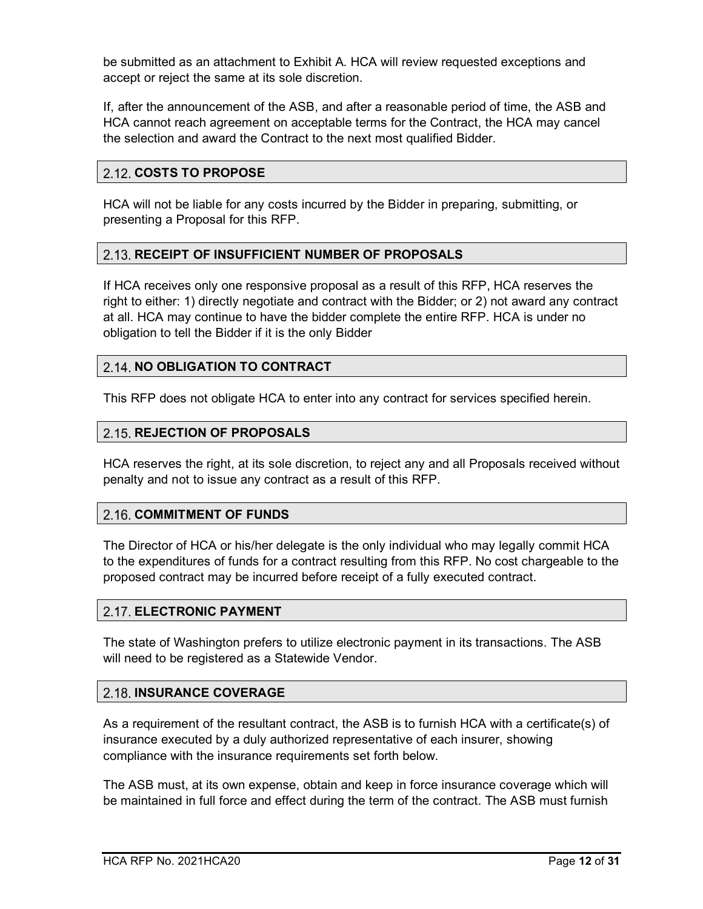be submitted as an attachment to Exhibit A. HCA will review requested exceptions and accept or reject the same at its sole discretion.

If, after the announcement of the ASB, and after a reasonable period of time, the ASB and HCA cannot reach agreement on acceptable terms for the Contract, the HCA may cancel the selection and award the Contract to the next most qualified Bidder.

#### <span id="page-11-0"></span>**COSTS TO PROPOSE**

HCA will not be liable for any costs incurred by the Bidder in preparing, submitting, or presenting a Proposal for this RFP.

#### <span id="page-11-1"></span>**RECEIPT OF INSUFFICIENT NUMBER OF PROPOSALS**

If HCA receives only one responsive proposal as a result of this RFP, HCA reserves the right to either: 1) directly negotiate and contract with the Bidder; or 2) not award any contract at all. HCA may continue to have the bidder complete the entire RFP. HCA is under no obligation to tell the Bidder if it is the only Bidder

#### <span id="page-11-2"></span>**2.14. NO OBLIGATION TO CONTRACT**

This RFP does not obligate HCA to enter into any contract for services specified herein.

#### <span id="page-11-3"></span>**REJECTION OF PROPOSALS**

HCA reserves the right, at its sole discretion, to reject any and all Proposals received without penalty and not to issue any contract as a result of this RFP.

#### <span id="page-11-4"></span>**2.16. COMMITMENT OF FUNDS**

The Director of HCA or his/her delegate is the only individual who may legally commit HCA to the expenditures of funds for a contract resulting from this RFP. No cost chargeable to the proposed contract may be incurred before receipt of a fully executed contract.

#### <span id="page-11-5"></span>**ELECTRONIC PAYMENT**

The state of Washington prefers to utilize electronic payment in its transactions. The ASB will need to be registered as a Statewide Vendor.

#### <span id="page-11-6"></span>**2.18. INSURANCE COVERAGE**

As a requirement of the resultant contract, the ASB is to furnish HCA with a certificate(s) of insurance executed by a duly authorized representative of each insurer, showing compliance with the insurance requirements set forth below.

The ASB must, at its own expense, obtain and keep in force insurance coverage which will be maintained in full force and effect during the term of the contract. The ASB must furnish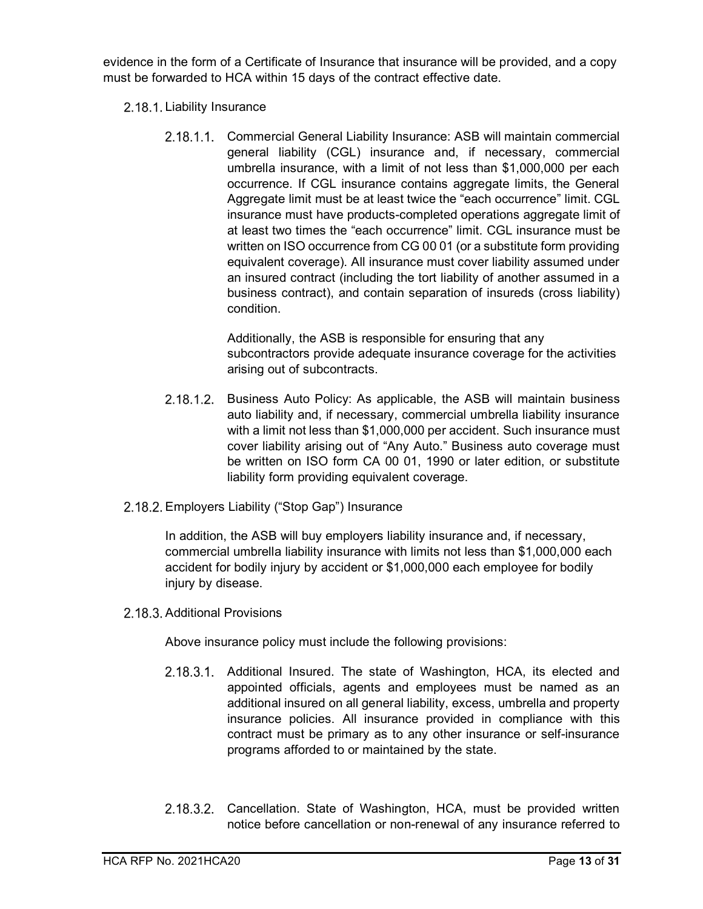evidence in the form of a Certificate of Insurance that insurance will be provided, and a copy must be forwarded to HCA within 15 days of the contract effective date.

- 2.18.1. Liability Insurance
	- 2.18.1.1. Commercial General Liability Insurance: ASB will maintain commercial general liability (CGL) insurance and, if necessary, commercial umbrella insurance, with a limit of not less than \$1,000,000 per each occurrence. If CGL insurance contains aggregate limits, the General Aggregate limit must be at least twice the "each occurrence" limit. CGL insurance must have products-completed operations aggregate limit of at least two times the "each occurrence" limit. CGL insurance must be written on ISO occurrence from CG 00 01 (or a substitute form providing equivalent coverage). All insurance must cover liability assumed under an insured contract (including the tort liability of another assumed in a business contract), and contain separation of insureds (cross liability) condition.

Additionally, the ASB is responsible for ensuring that any subcontractors provide adequate insurance coverage for the activities arising out of subcontracts.

- 2.18.1.2. Business Auto Policy: As applicable, the ASB will maintain business auto liability and, if necessary, commercial umbrella liability insurance with a limit not less than \$1,000,000 per accident. Such insurance must cover liability arising out of "Any Auto." Business auto coverage must be written on ISO form CA 00 01, 1990 or later edition, or substitute liability form providing equivalent coverage.
- 2.18.2. Employers Liability ("Stop Gap") Insurance

In addition, the ASB will buy employers liability insurance and, if necessary, commercial umbrella liability insurance with limits not less than \$1,000,000 each accident for bodily injury by accident or \$1,000,000 each employee for bodily injury by disease.

2.18.3. Additional Provisions

Above insurance policy must include the following provisions:

- 2.18.3.1. Additional Insured. The state of Washington, HCA, its elected and appointed officials, agents and employees must be named as an additional insured on all general liability, excess, umbrella and property insurance policies. All insurance provided in compliance with this contract must be primary as to any other insurance or self-insurance programs afforded to or maintained by the state.
- 2.18.3.2. Cancellation. State of Washington, HCA, must be provided written notice before cancellation or non-renewal of any insurance referred to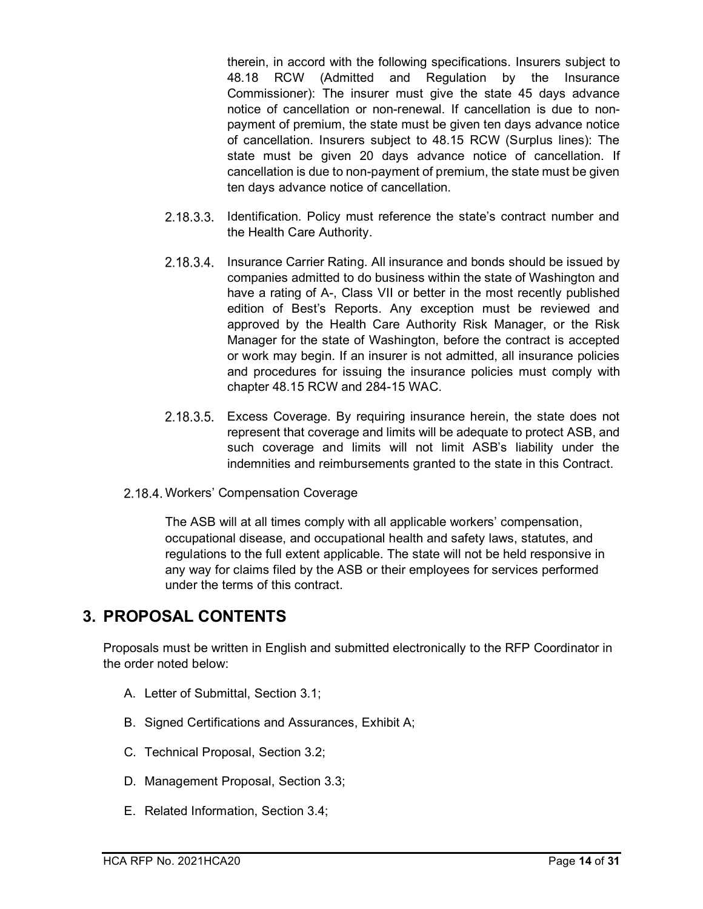therein, in accord with the following specifications. Insurers subject to 48.18 RCW (Admitted and Regulation by the Insurance Commissioner): The insurer must give the state 45 days advance notice of cancellation or non-renewal. If cancellation is due to nonpayment of premium, the state must be given ten days advance notice of cancellation. Insurers subject to 48.15 RCW (Surplus lines): The state must be given 20 days advance notice of cancellation. If cancellation is due to non-payment of premium, the state must be given ten days advance notice of cancellation.

- 2.18.3.3. Identification. Policy must reference the state's contract number and the Health Care Authority.
- 2.18.3.4. Insurance Carrier Rating. All insurance and bonds should be issued by companies admitted to do business within the state of Washington and have a rating of A-, Class VII or better in the most recently published edition of Best's Reports. Any exception must be reviewed and approved by the Health Care Authority Risk Manager, or the Risk Manager for the state of Washington, before the contract is accepted or work may begin. If an insurer is not admitted, all insurance policies and procedures for issuing the insurance policies must comply with chapter 48.15 RCW and 284-15 WAC.
- Excess Coverage. By requiring insurance herein, the state does not represent that coverage and limits will be adequate to protect ASB, and such coverage and limits will not limit ASB's liability under the indemnities and reimbursements granted to the state in this Contract.
- 2.18.4. Workers' Compensation Coverage

The ASB will at all times comply with all applicable workers' compensation, occupational disease, and occupational health and safety laws, statutes, and regulations to the full extent applicable. The state will not be held responsive in any way for claims filed by the ASB or their employees for services performed under the terms of this contract.

### <span id="page-13-0"></span>**3. PROPOSAL CONTENTS**

Proposals must be written in English and submitted electronically to the RFP Coordinator in the order noted below:

- A. Letter of Submittal, Section 3.1;
- B. Signed Certifications and Assurances, Exhibit A;
- C. Technical Proposal, Section 3.2;
- D. Management Proposal, Section 3.3;
- E. Related Information, Section 3.4;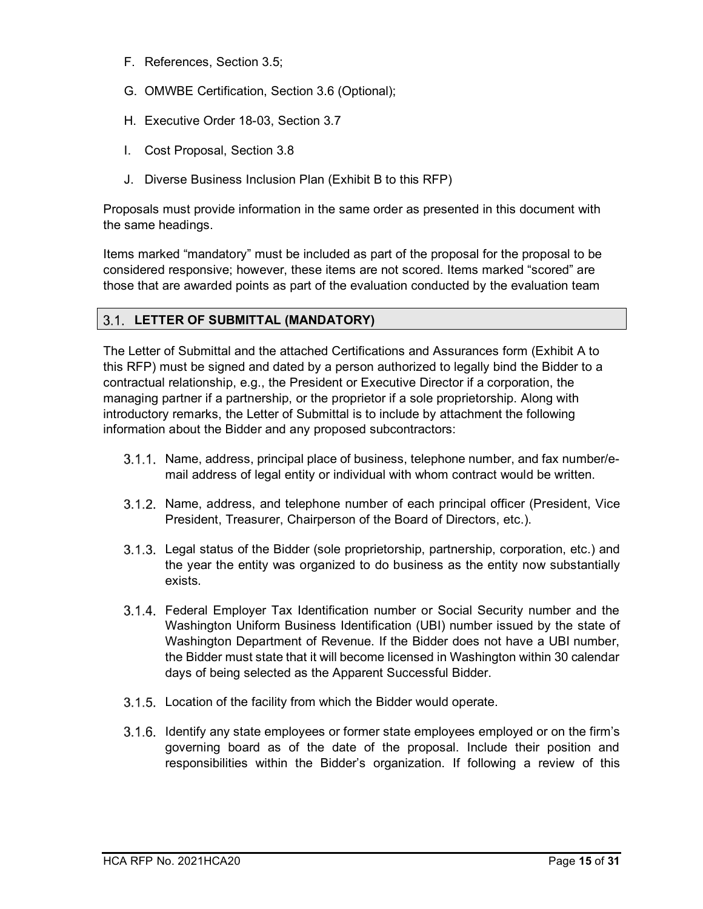- F. References, Section 3.5;
- G. OMWBE Certification, Section 3.6 (Optional);
- H. Executive Order 18-03, Section 3.7
- I. Cost Proposal, Section 3.8
- J. Diverse Business Inclusion Plan (Exhibit B to this RFP)

Proposals must provide information in the same order as presented in this document with the same headings.

Items marked "mandatory" must be included as part of the proposal for the proposal to be considered responsive; however, these items are not scored. Items marked "scored" are those that are awarded points as part of the evaluation conducted by the evaluation team

#### <span id="page-14-0"></span>**LETTER OF SUBMITTAL (MANDATORY)**

The Letter of Submittal and the attached Certifications and Assurances form (Exhibit A to this RFP) must be signed and dated by a person authorized to legally bind the Bidder to a contractual relationship, e.g., the President or Executive Director if a corporation, the managing partner if a partnership, or the proprietor if a sole proprietorship. Along with introductory remarks, the Letter of Submittal is to include by attachment the following information about the Bidder and any proposed subcontractors:

- 3.1.1. Name, address, principal place of business, telephone number, and fax number/email address of legal entity or individual with whom contract would be written.
- 3.1.2. Name, address, and telephone number of each principal officer (President, Vice President, Treasurer, Chairperson of the Board of Directors, etc.).
- Legal status of the Bidder (sole proprietorship, partnership, corporation, etc.) and the year the entity was organized to do business as the entity now substantially exists.
- Federal Employer Tax Identification number or Social Security number and the Washington Uniform Business Identification (UBI) number issued by the state of Washington Department of Revenue. If the Bidder does not have a UBI number, the Bidder must state that it will become licensed in Washington within 30 calendar days of being selected as the Apparent Successful Bidder.
- 3.1.5. Location of the facility from which the Bidder would operate.
- 3.1.6. Identify any state employees or former state employees employed or on the firm's governing board as of the date of the proposal. Include their position and responsibilities within the Bidder's organization. If following a review of this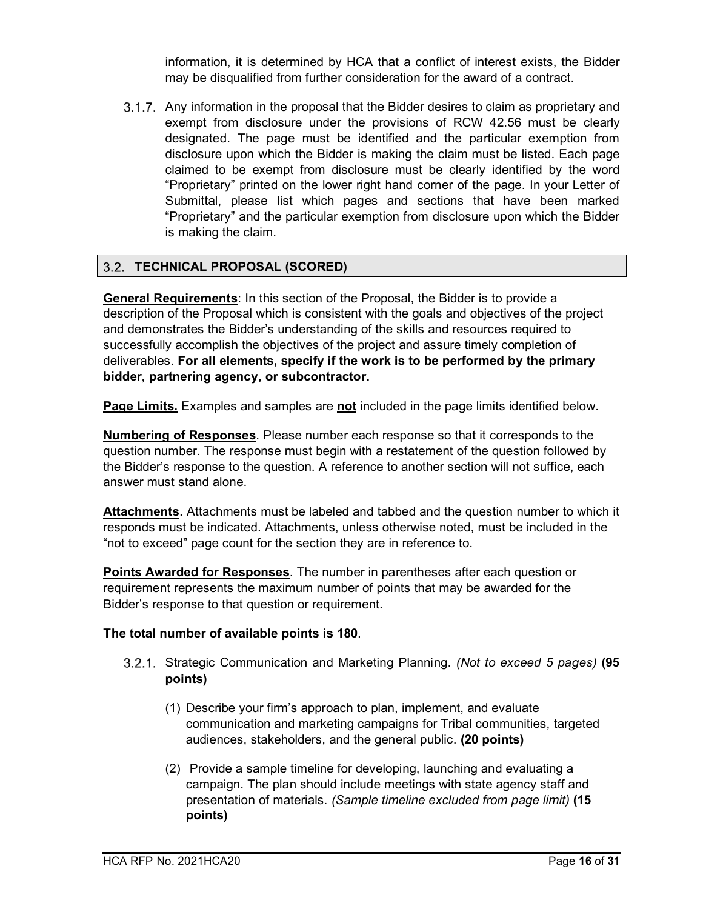information, it is determined by HCA that a conflict of interest exists, the Bidder may be disqualified from further consideration for the award of a contract.

3.1.7. Any information in the proposal that the Bidder desires to claim as proprietary and exempt from disclosure under the provisions of RCW 42.56 must be clearly designated. The page must be identified and the particular exemption from disclosure upon which the Bidder is making the claim must be listed. Each page claimed to be exempt from disclosure must be clearly identified by the word "Proprietary" printed on the lower right hand corner of the page. In your Letter of Submittal, please list which pages and sections that have been marked "Proprietary" and the particular exemption from disclosure upon which the Bidder is making the claim.

#### <span id="page-15-0"></span>**TECHNICAL PROPOSAL (SCORED)**

**General Requirements**: In this section of the Proposal, the Bidder is to provide a description of the Proposal which is consistent with the goals and objectives of the project and demonstrates the Bidder's understanding of the skills and resources required to successfully accomplish the objectives of the project and assure timely completion of deliverables. **For all elements, specify if the work is to be performed by the primary bidder, partnering agency, or subcontractor.**

**Page Limits.** Examples and samples are **not** included in the page limits identified below.

**Numbering of Responses**. Please number each response so that it corresponds to the question number. The response must begin with a restatement of the question followed by the Bidder's response to the question. A reference to another section will not suffice, each answer must stand alone.

**Attachments**. Attachments must be labeled and tabbed and the question number to which it responds must be indicated. Attachments, unless otherwise noted, must be included in the "not to exceed" page count for the section they are in reference to.

**Points Awarded for Responses**. The number in parentheses after each question or requirement represents the maximum number of points that may be awarded for the Bidder's response to that question or requirement.

#### <span id="page-15-1"></span>**The total number of available points is 180**.

- Strategic Communication and Marketing Planning. *(Not to exceed 5 pages)* **(95 points)**
	- (1) Describe your firm's approach to plan, implement, and evaluate communication and marketing campaigns for Tribal communities, targeted audiences, stakeholders, and the general public. **(20 points)**
	- (2) Provide a sample timeline for developing, launching and evaluating a campaign. The plan should include meetings with state agency staff and presentation of materials. *(Sample timeline excluded from page limit)* **(15 points)**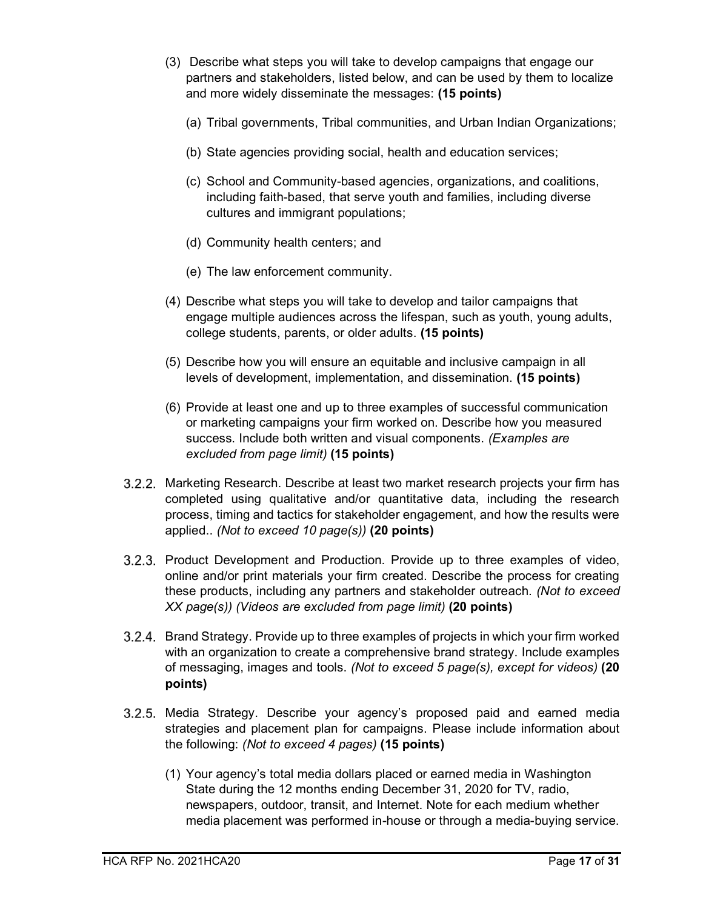- (3) Describe what steps you will take to develop campaigns that engage our partners and stakeholders, listed below, and can be used by them to localize and more widely disseminate the messages: **(15 points)**
	- (a) Tribal governments, Tribal communities, and Urban Indian Organizations;
	- (b) State agencies providing social, health and education services;
	- (c) School and Community-based agencies, organizations, and coalitions, including faith-based, that serve youth and families, including diverse cultures and immigrant populations;
	- (d) Community health centers; and
	- (e) The law enforcement community.
- (4) Describe what steps you will take to develop and tailor campaigns that engage multiple audiences across the lifespan, such as youth, young adults, college students, parents, or older adults. **(15 points)**
- (5) Describe how you will ensure an equitable and inclusive campaign in all levels of development, implementation, and dissemination. **(15 points)**
- (6) Provide at least one and up to three examples of successful communication or marketing campaigns your firm worked on. Describe how you measured success. Include both written and visual components. *(Examples are excluded from page limit)* **(15 points)**
- 3.2.2. Marketing Research. Describe at least two market research projects your firm has completed using qualitative and/or quantitative data, including the research process, timing and tactics for stakeholder engagement, and how the results were applied.. *(Not to exceed 10 page(s))* **(20 points)**
- 3.2.3. Product Development and Production. Provide up to three examples of video, online and/or print materials your firm created. Describe the process for creating these products, including any partners and stakeholder outreach. *(Not to exceed XX page(s)) (Videos are excluded from page limit)* **(20 points)**
- Brand Strategy. Provide up to three examples of projects in which your firm worked with an organization to create a comprehensive brand strategy. Include examples of messaging, images and tools. *(Not to exceed 5 page(s), except for videos)* **(20 points)**
- 3.2.5. Media Strategy. Describe your agency's proposed paid and earned media strategies and placement plan for campaigns. Please include information about the following: *(Not to exceed 4 pages)* **(15 points)** 
	- (1) Your agency's total media dollars placed or earned media in Washington State during the 12 months ending December 31, 2020 for TV, radio, newspapers, outdoor, transit, and Internet. Note for each medium whether media placement was performed in-house or through a media-buying service.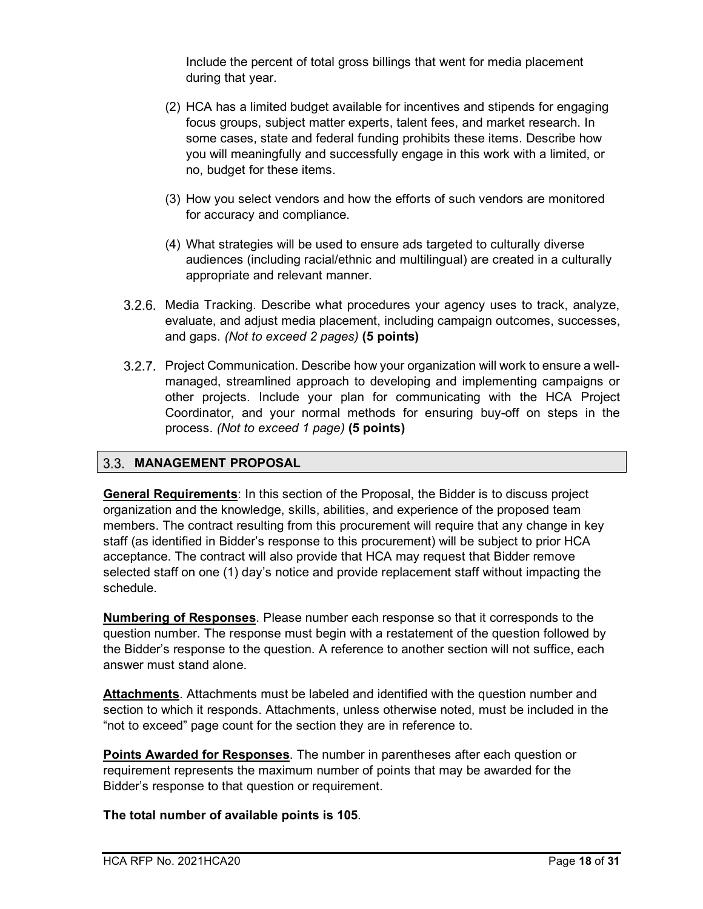Include the percent of total gross billings that went for media placement during that year.

- (2) HCA has a limited budget available for incentives and stipends for engaging focus groups, subject matter experts, talent fees, and market research. In some cases, state and federal funding prohibits these items. Describe how you will meaningfully and successfully engage in this work with a limited, or no, budget for these items.
- (3) How you select vendors and how the efforts of such vendors are monitored for accuracy and compliance.
- (4) What strategies will be used to ensure ads targeted to culturally diverse audiences (including racial/ethnic and multilingual) are created in a culturally appropriate and relevant manner.
- 3.2.6. Media Tracking. Describe what procedures your agency uses to track, analyze, evaluate, and adjust media placement, including campaign outcomes, successes, and gaps. *(Not to exceed 2 pages)* **(5 points)**
- 3.2.7. Project Communication. Describe how your organization will work to ensure a wellmanaged, streamlined approach to developing and implementing campaigns or other projects. Include your plan for communicating with the HCA Project Coordinator, and your normal methods for ensuring buy-off on steps in the process. *(Not to exceed 1 page)* **(5 points)**

#### <span id="page-17-0"></span>**MANAGEMENT PROPOSAL**

**General Requirements**: In this section of the Proposal, the Bidder is to discuss project organization and the knowledge, skills, abilities, and experience of the proposed team members. The contract resulting from this procurement will require that any change in key staff (as identified in Bidder's response to this procurement) will be subject to prior HCA acceptance. The contract will also provide that HCA may request that Bidder remove selected staff on one (1) day's notice and provide replacement staff without impacting the schedule.

**Numbering of Responses**. Please number each response so that it corresponds to the question number. The response must begin with a restatement of the question followed by the Bidder's response to the question. A reference to another section will not suffice, each answer must stand alone.

**Attachments**. Attachments must be labeled and identified with the question number and section to which it responds. Attachments, unless otherwise noted, must be included in the "not to exceed" page count for the section they are in reference to.

**Points Awarded for Responses**. The number in parentheses after each question or requirement represents the maximum number of points that may be awarded for the Bidder's response to that question or requirement.

**The total number of available points is 105**.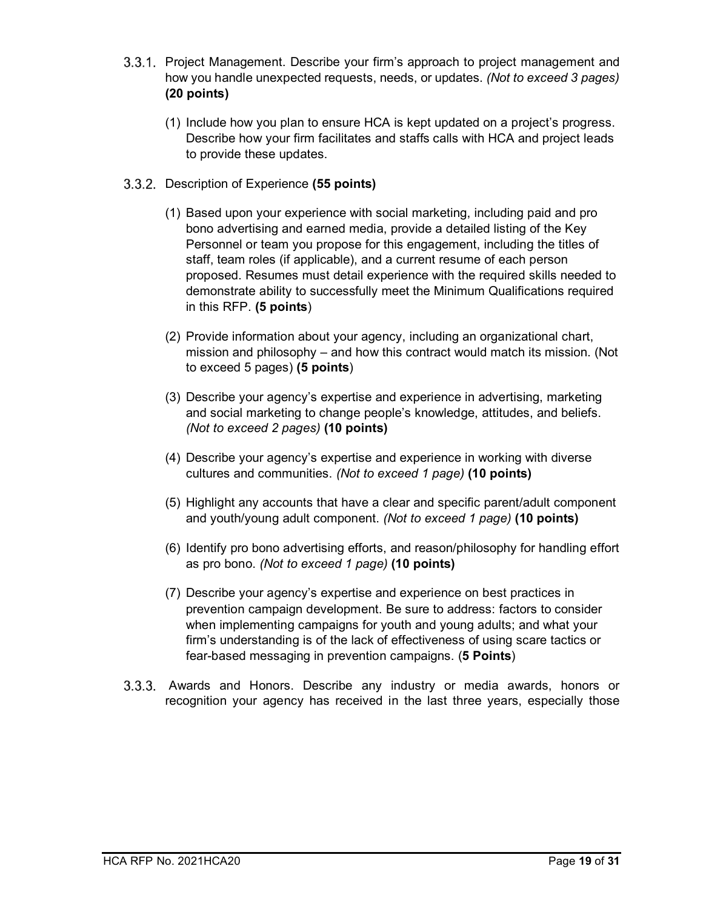- 3.3.1. Project Management. Describe your firm's approach to project management and how you handle unexpected requests, needs, or updates. *(Not to exceed 3 pages)* **(20 points)**
	- (1) Include how you plan to ensure HCA is kept updated on a project's progress. Describe how your firm facilitates and staffs calls with HCA and project leads to provide these updates.
- Description of Experience **(55 points)**
	- (1) Based upon your experience with social marketing, including paid and pro bono advertising and earned media, provide a detailed listing of the Key Personnel or team you propose for this engagement, including the titles of staff, team roles (if applicable), and a current resume of each person proposed. Resumes must detail experience with the required skills needed to demonstrate ability to successfully meet the Minimum Qualifications required in this RFP. **(5 points**)
	- (2) Provide information about your agency, including an organizational chart, mission and philosophy – and how this contract would match its mission. (Not to exceed 5 pages) **(5 points**)
	- (3) Describe your agency's expertise and experience in advertising, marketing and social marketing to change people's knowledge, attitudes, and beliefs. *(Not to exceed 2 pages)* **(10 points)**
	- (4) Describe your agency's expertise and experience in working with diverse cultures and communities. *(Not to exceed 1 page)* **(10 points)**
	- (5) Highlight any accounts that have a clear and specific parent/adult component and youth/young adult component. *(Not to exceed 1 page)* **(10 points)**
	- (6) Identify pro bono advertising efforts, and reason/philosophy for handling effort as pro bono. *(Not to exceed 1 page)* **(10 points)**
	- (7) Describe your agency's expertise and experience on best practices in prevention campaign development. Be sure to address: factors to consider when implementing campaigns for youth and young adults; and what your firm's understanding is of the lack of effectiveness of using scare tactics or fear-based messaging in prevention campaigns. (**5 Points**)
- Awards and Honors. Describe any industry or media awards, honors or recognition your agency has received in the last three years, especially those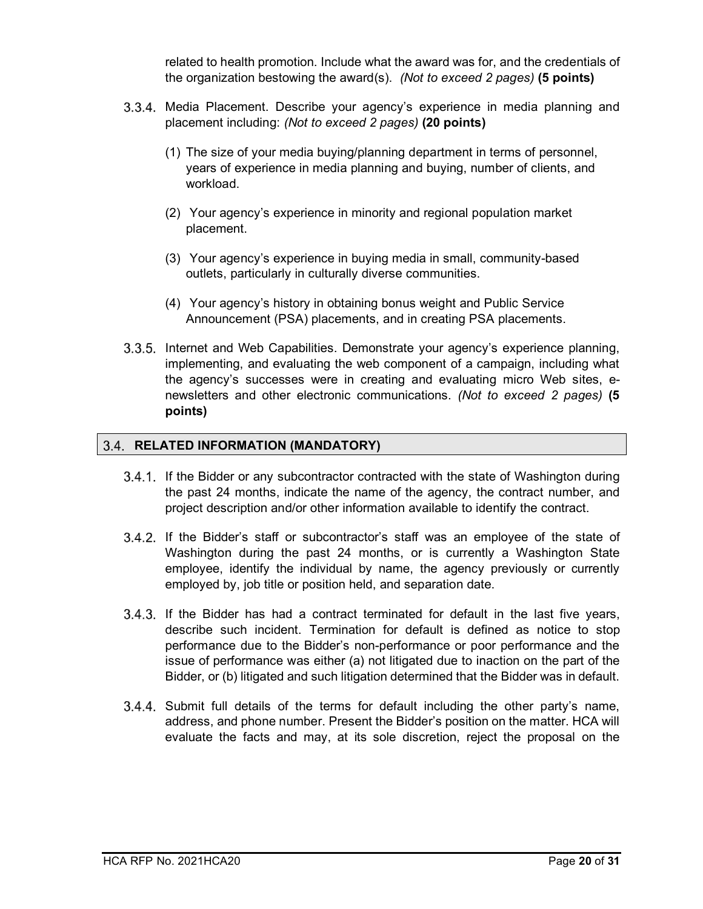related to health promotion. Include what the award was for, and the credentials of the organization bestowing the award(s). *(Not to exceed 2 pages)* **(5 points)**

- 3.3.4. Media Placement. Describe your agency's experience in media planning and placement including: *(Not to exceed 2 pages)* **(20 points)**
	- (1) The size of your media buying/planning department in terms of personnel, years of experience in media planning and buying, number of clients, and workload.
	- (2) Your agency's experience in minority and regional population market placement.
	- (3) Your agency's experience in buying media in small, community-based outlets, particularly in culturally diverse communities.
	- (4) Your agency's history in obtaining bonus weight and Public Service Announcement (PSA) placements, and in creating PSA placements.
- Internet and Web Capabilities. Demonstrate your agency's experience planning, implementing, and evaluating the web component of a campaign, including what the agency's successes were in creating and evaluating micro Web sites, enewsletters and other electronic communications. *(Not to exceed 2 pages)* **(5 points)**

#### <span id="page-19-0"></span>**RELATED INFORMATION (MANDATORY)**

- 3.4.1. If the Bidder or any subcontractor contracted with the state of Washington during the past 24 months, indicate the name of the agency, the contract number, and project description and/or other information available to identify the contract.
- 3.4.2. If the Bidder's staff or subcontractor's staff was an employee of the state of Washington during the past 24 months, or is currently a Washington State employee, identify the individual by name, the agency previously or currently employed by, job title or position held, and separation date.
- If the Bidder has had a contract terminated for default in the last five years, describe such incident. Termination for default is defined as notice to stop performance due to the Bidder's non-performance or poor performance and the issue of performance was either (a) not litigated due to inaction on the part of the Bidder, or (b) litigated and such litigation determined that the Bidder was in default.
- $3.4.4$ . Submit full details of the terms for default including the other party's name, address, and phone number. Present the Bidder's position on the matter. HCA will evaluate the facts and may, at its sole discretion, reject the proposal on the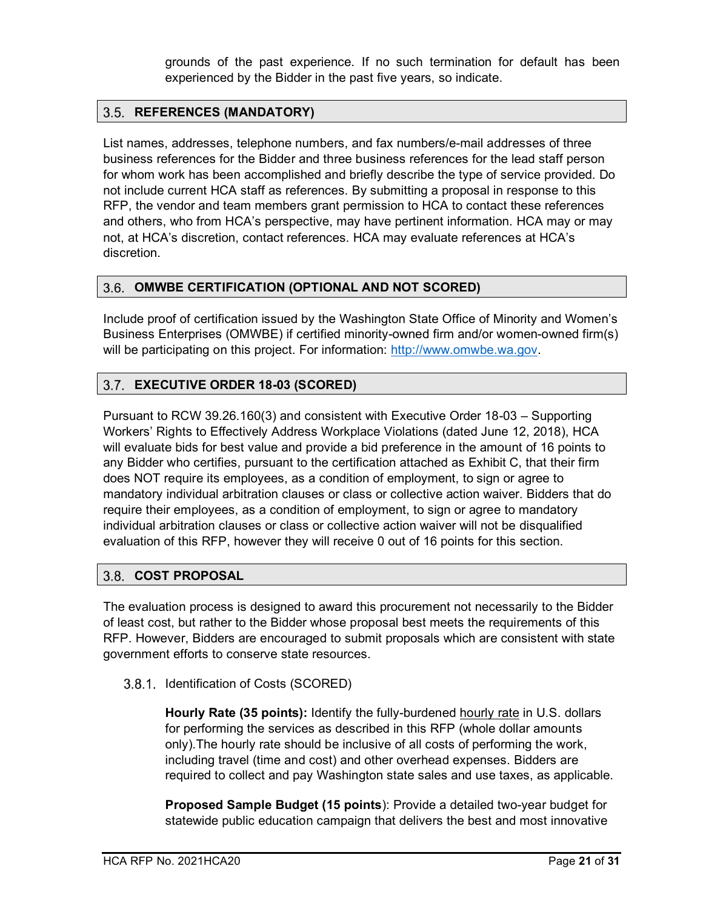grounds of the past experience. If no such termination for default has been experienced by the Bidder in the past five years, so indicate.

#### <span id="page-20-0"></span>**REFERENCES (MANDATORY)**

List names, addresses, telephone numbers, and fax numbers/e-mail addresses of three business references for the Bidder and three business references for the lead staff person for whom work has been accomplished and briefly describe the type of service provided. Do not include current HCA staff as references. By submitting a proposal in response to this RFP, the vendor and team members grant permission to HCA to contact these references and others, who from HCA's perspective, may have pertinent information. HCA may or may not, at HCA's discretion, contact references. HCA may evaluate references at HCA's discretion.

#### <span id="page-20-1"></span>**OMWBE CERTIFICATION (OPTIONAL AND NOT SCORED)**

Include proof of certification issued by the Washington State Office of Minority and Women's Business Enterprises (OMWBE) if certified minority-owned firm and/or women-owned firm(s) will be participating on this project. For information: [http://www.omwbe.wa.gov.](http://www.omwbe.wa.gov/)

#### <span id="page-20-2"></span>**EXECUTIVE ORDER 18-03 (SCORED)**

Pursuant to RCW 39.26.160(3) and consistent with Executive Order 18-03 – Supporting Workers' Rights to Effectively Address Workplace Violations (dated June 12, 2018), HCA will evaluate bids for best value and provide a bid preference in the amount of 16 points to any Bidder who certifies, pursuant to the certification attached as Exhibit C, that their firm does NOT require its employees, as a condition of employment, to sign or agree to mandatory individual arbitration clauses or class or collective action waiver. Bidders that do require their employees, as a condition of employment, to sign or agree to mandatory individual arbitration clauses or class or collective action waiver will not be disqualified evaluation of this RFP, however they will receive 0 out of 16 points for this section.

#### <span id="page-20-3"></span>**COST PROPOSAL**

The evaluation process is designed to award this procurement not necessarily to the Bidder of least cost, but rather to the Bidder whose proposal best meets the requirements of this RFP. However, Bidders are encouraged to submit proposals which are consistent with state government efforts to conserve state resources.

#### 3.8.1. Identification of Costs (SCORED)

**Hourly Rate (35 points):** Identify the fully-burdened hourly rate in U.S. dollars for performing the services as described in this RFP (whole dollar amounts only).The hourly rate should be inclusive of all costs of performing the work, including travel (time and cost) and other overhead expenses. Bidders are required to collect and pay Washington state sales and use taxes, as applicable.

**Proposed Sample Budget (15 points**): Provide a detailed two-year budget for statewide public education campaign that delivers the best and most innovative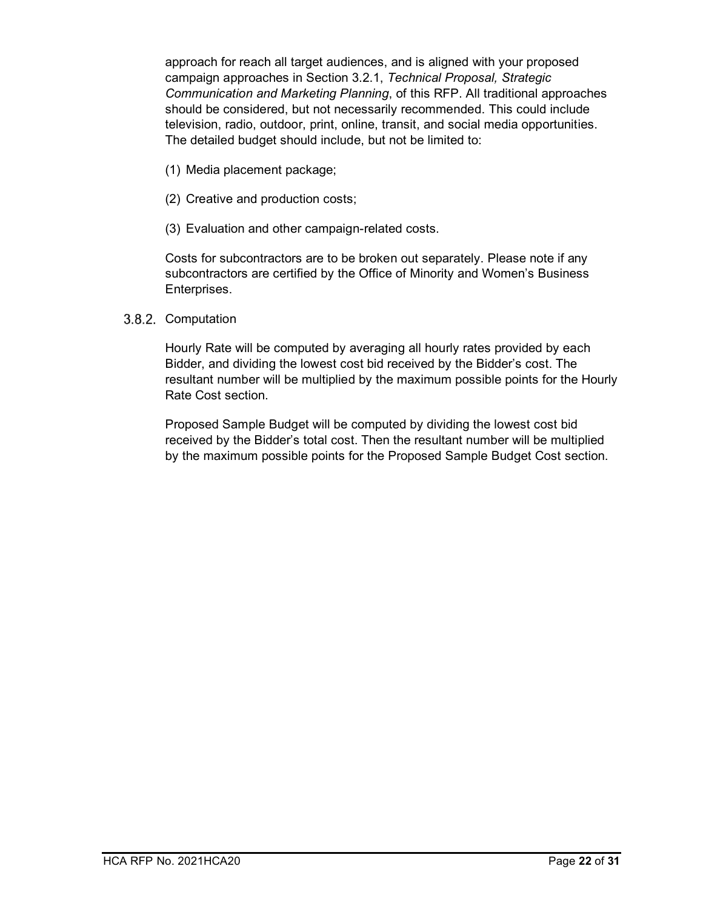approach for reach all target audiences, and is aligned with your proposed campaign approaches in Section [3.2.1,](#page-15-1) *Technical Proposal, Strategic Communication and Marketing Planning*, of this RFP. All traditional approaches should be considered, but not necessarily recommended. This could include television, radio, outdoor, print, online, transit, and social media opportunities. The detailed budget should include, but not be limited to:

- (1) Media placement package;
- (2) Creative and production costs;
- (3) Evaluation and other campaign-related costs.

Costs for subcontractors are to be broken out separately. Please note if any subcontractors are certified by the Office of Minority and Women's Business Enterprises.

#### 3.8.2. Computation

Hourly Rate will be computed by averaging all hourly rates provided by each Bidder, and dividing the lowest cost bid received by the Bidder's cost. The resultant number will be multiplied by the maximum possible points for the Hourly Rate Cost section.

Proposed Sample Budget will be computed by dividing the lowest cost bid received by the Bidder's total cost. Then the resultant number will be multiplied by the maximum possible points for the Proposed Sample Budget Cost section.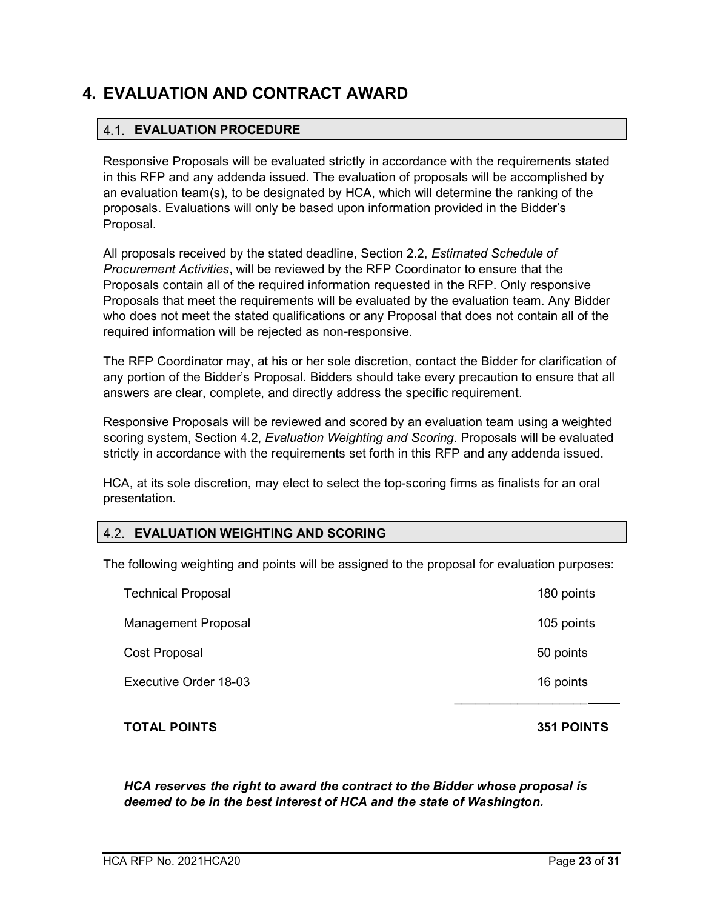## <span id="page-22-0"></span>**4. EVALUATION AND CONTRACT AWARD**

#### <span id="page-22-1"></span>**EVALUATION PROCEDURE**

<span id="page-22-3"></span>Responsive Proposals will be evaluated strictly in accordance with the requirements stated in this RFP and any addenda issued. The evaluation of proposals will be accomplished by an evaluation team(s), to be designated by HCA, which will determine the ranking of the proposals. Evaluations will only be based upon information provided in the Bidder's Proposal.

All proposals received by the stated deadline, Section [2.2,](#page-7-2) *Estimated Schedule of Procurement Activities*, will be reviewed by the RFP Coordinator to ensure that the Proposals contain all of the required information requested in the RFP. Only responsive Proposals that meet the requirements will be evaluated by the evaluation team. Any Bidder who does not meet the stated qualifications or any Proposal that does not contain all of the required information will be rejected as non-responsive.

The RFP Coordinator may, at his or her sole discretion, contact the Bidder for clarification of any portion of the Bidder's Proposal. Bidders should take every precaution to ensure that all answers are clear, complete, and directly address the specific requirement.

Responsive Proposals will be reviewed and scored by an evaluation team using a weighted scoring system, Section [4.2,](#page-22-3) *Evaluation Weighting and Scoring*. Proposals will be evaluated strictly in accordance with the requirements set forth in this RFP and any addenda issued.

HCA, at its sole discretion, may elect to select the top-scoring firms as finalists for an oral presentation.

#### <span id="page-22-2"></span>**EVALUATION WEIGHTING AND SCORING**

The following weighting and points will be assigned to the proposal for evaluation purposes:

| <b>Technical Proposal</b>    | 180 points |
|------------------------------|------------|
| <b>Management Proposal</b>   | 105 points |
| Cost Proposal                | 50 points  |
| <b>Executive Order 18-03</b> | 16 points  |
|                              |            |

**TOTAL POINTS 351 POINTS**

*HCA reserves the right to award the contract to the Bidder whose proposal is deemed to be in the best interest of HCA and the state of Washington.*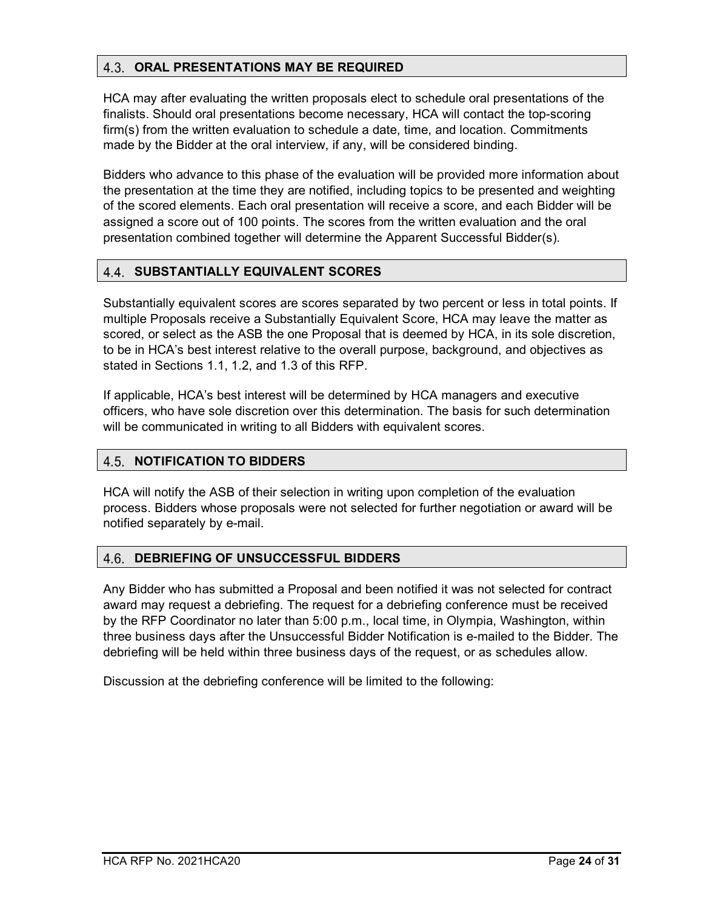#### <span id="page-23-0"></span>**ORAL PRESENTATIONS MAY BE REQUIRED**

HCA may after evaluating the written proposals elect to schedule oral presentations of the finalists. Should oral presentations become necessary, HCA will contact the top-scoring firm(s) from the written evaluation to schedule a date, time, and location. Commitments made by the Bidder at the oral interview, if any, will be considered binding.

Bidders who advance to this phase of the evaluation will be provided more information about the presentation at the time they are notified, including topics to be presented and weighting of the scored elements. Each oral presentation will receive a score, and each Bidder will be assigned a score out of 100 points. The scores from the written evaluation and the oral presentation combined together will determine the Apparent Successful Bidder(s).

#### <span id="page-23-1"></span>**SUBSTANTIALLY EQUIVALENT SCORES**

Substantially equivalent scores are scores separated by two percent or less in total points. If multiple Proposals receive a Substantially Equivalent Score, HCA may leave the matter as scored, or select as the ASB the one Proposal that is deemed by HCA, in its sole discretion, to be in HCA's best interest relative to the overall purpose, background, and objectives as stated in Sections [1.1,](#page-3-1) [1.2,](#page-3-3) and [1.3](#page-3-3) of this RFP.

If applicable, HCA's best interest will be determined by HCA managers and executive officers, who have sole discretion over this determination. The basis for such determination will be communicated in writing to all Bidders with equivalent scores.

#### <span id="page-23-2"></span>**NOTIFICATION TO BIDDERS**

HCA will notify the ASB of their selection in writing upon completion of the evaluation process. Bidders whose proposals were not selected for further negotiation or award will be notified separately by e-mail.

#### <span id="page-23-3"></span>4.6. **DEBRIEFING OF UNSUCCESSFUL BIDDERS**

Any Bidder who has submitted a Proposal and been notified it was not selected for contract award may request a debriefing. The request for a debriefing conference must be received by the RFP Coordinator no later than 5:00 p.m., local time, in Olympia, Washington, within three business days after the Unsuccessful Bidder Notification is e-mailed to the Bidder. The debriefing will be held within three business days of the request, or as schedules allow.

Discussion at the debriefing conference will be limited to the following: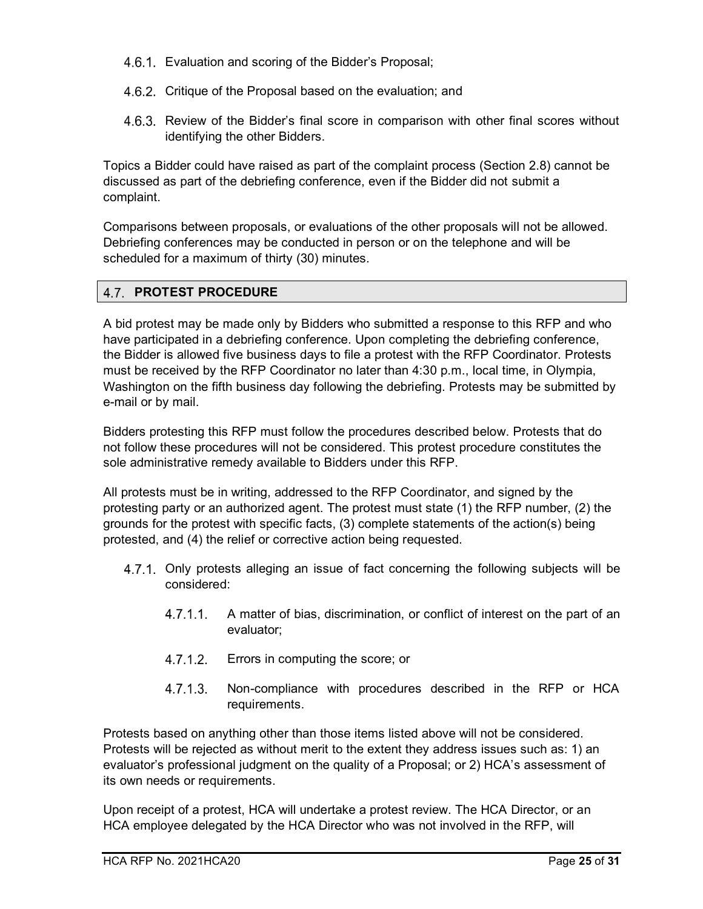- 4.6.1. Evaluation and scoring of the Bidder's Proposal;
- 4.6.2. Critique of the Proposal based on the evaluation; and
- 4.6.3. Review of the Bidder's final score in comparison with other final scores without identifying the other Bidders.

Topics a Bidder could have raised as part of the complaint process (Section [2.8\)](#page-9-3) cannot be discussed as part of the debriefing conference, even if the Bidder did not submit a complaint.

Comparisons between proposals, or evaluations of the other proposals will not be allowed. Debriefing conferences may be conducted in person or on the telephone and will be scheduled for a maximum of thirty (30) minutes.

#### <span id="page-24-0"></span>**4.7. PROTEST PROCEDURE**

A bid protest may be made only by Bidders who submitted a response to this RFP and who have participated in a debriefing conference. Upon completing the debriefing conference, the Bidder is allowed five business days to file a protest with the RFP Coordinator. Protests must be received by the RFP Coordinator no later than 4:30 p.m., local time, in Olympia, Washington on the fifth business day following the debriefing. Protests may be submitted by e-mail or by mail.

Bidders protesting this RFP must follow the procedures described below. Protests that do not follow these procedures will not be considered. This protest procedure constitutes the sole administrative remedy available to Bidders under this RFP.

All protests must be in writing, addressed to the RFP Coordinator, and signed by the protesting party or an authorized agent. The protest must state (1) the RFP number, (2) the grounds for the protest with specific facts, (3) complete statements of the action(s) being protested, and (4) the relief or corrective action being requested.

- 4.7.1. Only protests alleging an issue of fact concerning the following subjects will be considered:
	- $4.7.1.1$ . A matter of bias, discrimination, or conflict of interest on the part of an evaluator;
	- $4.7.1.2.$ Errors in computing the score; or
	- $4.7.1.3$ Non-compliance with procedures described in the RFP or HCA requirements.

Protests based on anything other than those items listed above will not be considered. Protests will be rejected as without merit to the extent they address issues such as: 1) an evaluator's professional judgment on the quality of a Proposal; or 2) HCA's assessment of its own needs or requirements.

Upon receipt of a protest, HCA will undertake a protest review. The HCA Director, or an HCA employee delegated by the HCA Director who was not involved in the RFP, will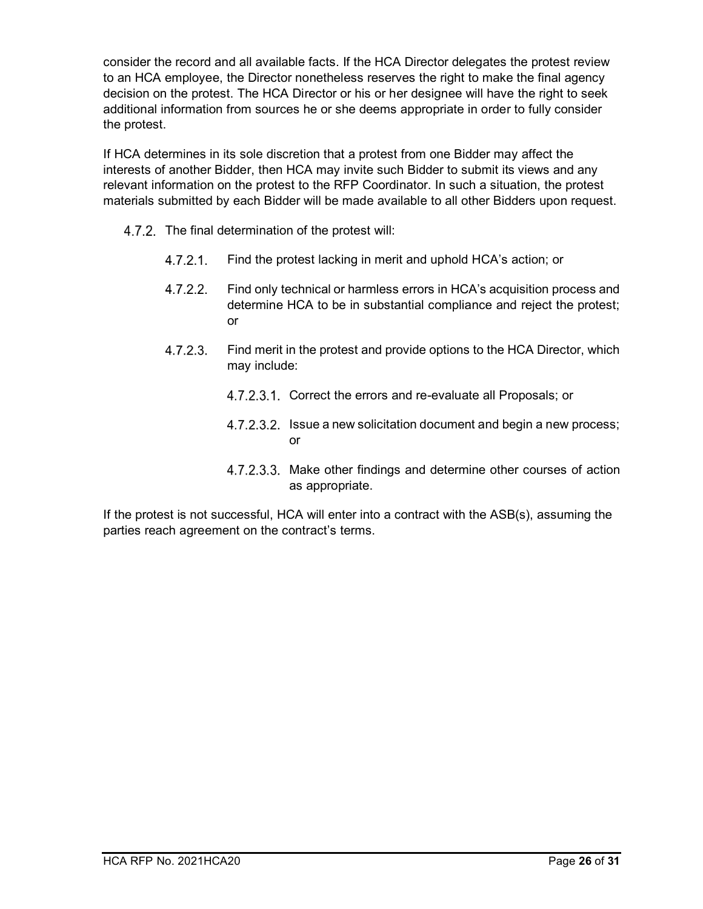consider the record and all available facts. If the HCA Director delegates the protest review to an HCA employee, the Director nonetheless reserves the right to make the final agency decision on the protest. The HCA Director or his or her designee will have the right to seek additional information from sources he or she deems appropriate in order to fully consider the protest.

If HCA determines in its sole discretion that a protest from one Bidder may affect the interests of another Bidder, then HCA may invite such Bidder to submit its views and any relevant information on the protest to the RFP Coordinator. In such a situation, the protest materials submitted by each Bidder will be made available to all other Bidders upon request.

- 4.7.2. The final determination of the protest will:
	- $4.7.2.1$ . Find the protest lacking in merit and uphold HCA's action; or
	- $4.7.2.2.$ Find only technical or harmless errors in HCA's acquisition process and determine HCA to be in substantial compliance and reject the protest; or
	- $4.7.2.3$ Find merit in the protest and provide options to the HCA Director, which may include:
		- 4.7.2.3.1. Correct the errors and re-evaluate all Proposals; or
		- 4.7.2.3.2. Issue a new solicitation document and begin a new process; or
		- 4.7.2.3.3. Make other findings and determine other courses of action as appropriate.

If the protest is not successful, HCA will enter into a contract with the ASB(s), assuming the parties reach agreement on the contract's terms.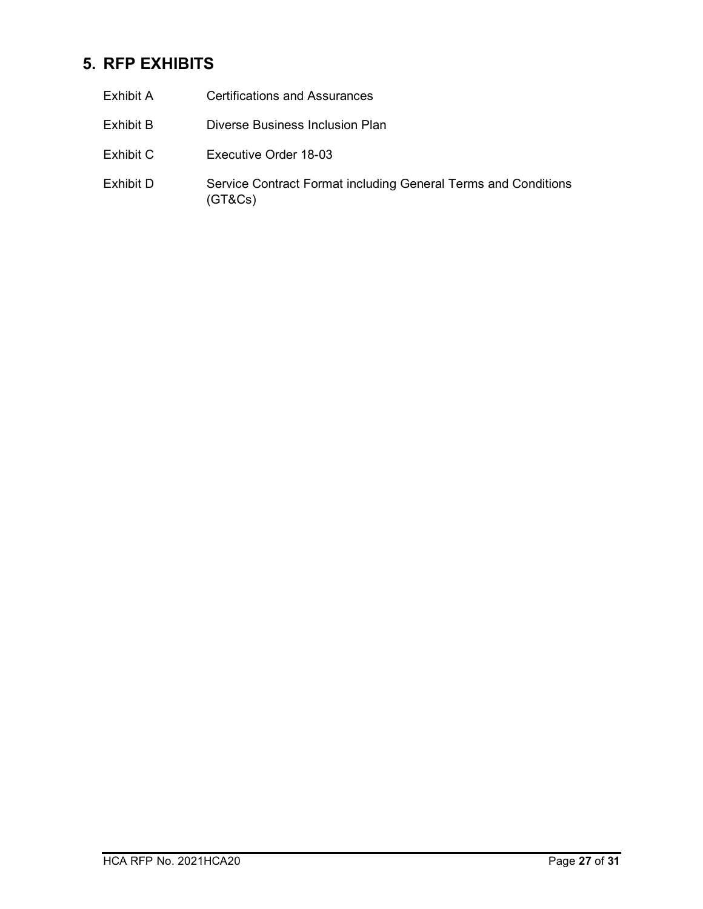## <span id="page-26-0"></span>**5. RFP EXHIBITS**

| Exhibit A | <b>Certifications and Assurances</b>                                      |
|-----------|---------------------------------------------------------------------------|
| Exhibit B | Diverse Business Inclusion Plan                                           |
| Exhibit C | Executive Order 18-03                                                     |
| Exhibit D | Service Contract Format including General Terms and Conditions<br>(GT&Cs) |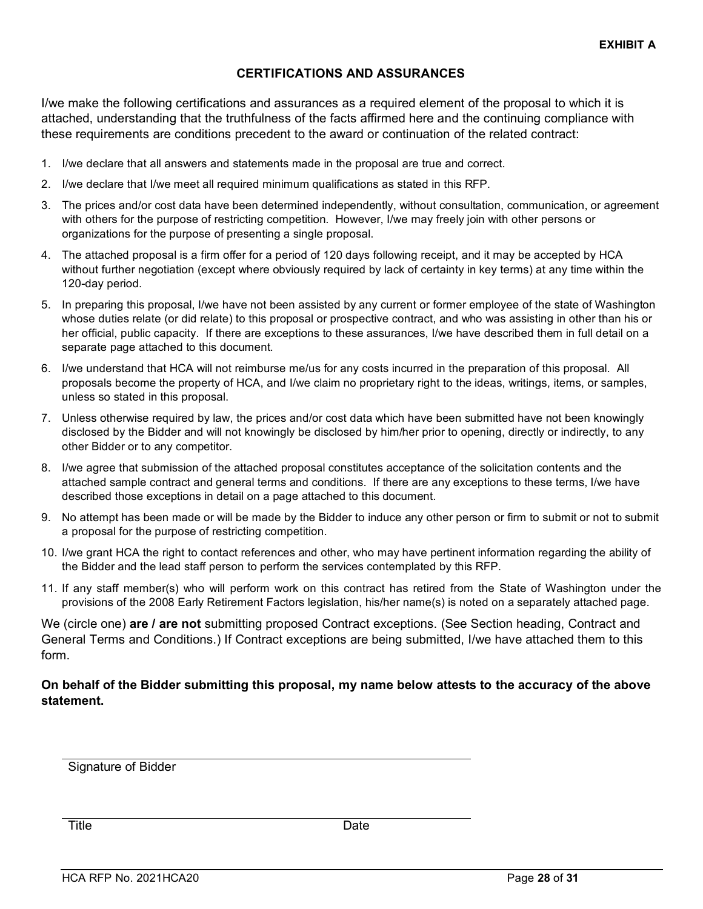#### **CERTIFICATIONS AND ASSURANCES**

I/we make the following certifications and assurances as a required element of the proposal to which it is attached, understanding that the truthfulness of the facts affirmed here and the continuing compliance with these requirements are conditions precedent to the award or continuation of the related contract:

- 1. I/we declare that all answers and statements made in the proposal are true and correct.
- 2. I/we declare that I/we meet all required minimum qualifications as stated in this RFP.
- 3. The prices and/or cost data have been determined independently, without consultation, communication, or agreement with others for the purpose of restricting competition. However, I/we may freely join with other persons or organizations for the purpose of presenting a single proposal.
- 4. The attached proposal is a firm offer for a period of 120 days following receipt, and it may be accepted by HCA without further negotiation (except where obviously required by lack of certainty in key terms) at any time within the 120-day period.
- 5. In preparing this proposal, I/we have not been assisted by any current or former employee of the state of Washington whose duties relate (or did relate) to this proposal or prospective contract, and who was assisting in other than his or her official, public capacity. If there are exceptions to these assurances, I/we have described them in full detail on a separate page attached to this document.
- 6. I/we understand that HCA will not reimburse me/us for any costs incurred in the preparation of this proposal. All proposals become the property of HCA, and I/we claim no proprietary right to the ideas, writings, items, or samples, unless so stated in this proposal.
- 7. Unless otherwise required by law, the prices and/or cost data which have been submitted have not been knowingly disclosed by the Bidder and will not knowingly be disclosed by him/her prior to opening, directly or indirectly, to any other Bidder or to any competitor.
- 8. I/we agree that submission of the attached proposal constitutes acceptance of the solicitation contents and the attached sample contract and general terms and conditions. If there are any exceptions to these terms, I/we have described those exceptions in detail on a page attached to this document.
- 9. No attempt has been made or will be made by the Bidder to induce any other person or firm to submit or not to submit a proposal for the purpose of restricting competition.
- 10. I/we grant HCA the right to contact references and other, who may have pertinent information regarding the ability of the Bidder and the lead staff person to perform the services contemplated by this RFP.
- 11. If any staff member(s) who will perform work on this contract has retired from the State of Washington under the provisions of the 2008 Early Retirement Factors legislation, his/her name(s) is noted on a separately attached page.

We (circle one) **are / are not** submitting proposed Contract exceptions. (See Section heading, Contract and General Terms and Conditions.) If Contract exceptions are being submitted, I/we have attached them to this form.

#### **On behalf of the Bidder submitting this proposal, my name below attests to the accuracy of the above statement.**

Signature of Bidder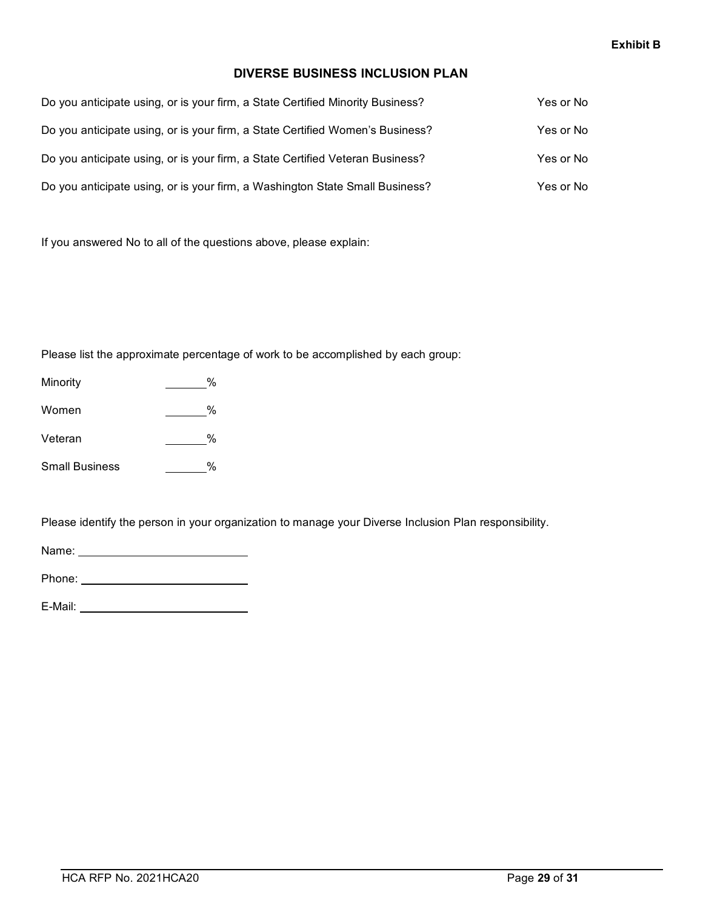#### **DIVERSE BUSINESS INCLUSION PLAN**

| Do you anticipate using, or is your firm, a State Certified Minority Business? | Yes or No |
|--------------------------------------------------------------------------------|-----------|
| Do you anticipate using, or is your firm, a State Certified Women's Business?  | Yes or No |
| Do you anticipate using, or is your firm, a State Certified Veteran Business?  | Yes or No |
| Do you anticipate using, or is your firm, a Washington State Small Business?   | Yes or No |

If you answered No to all of the questions above, please explain:

Please list the approximate percentage of work to be accomplished by each group:

- Minority 2%
- Women 2008
- Veteran %
- Small Business \_\_\_\_\_\_\_%

Please identify the person in your organization to manage your Diverse Inclusion Plan responsibility.

Name:

Phone:

E-Mail: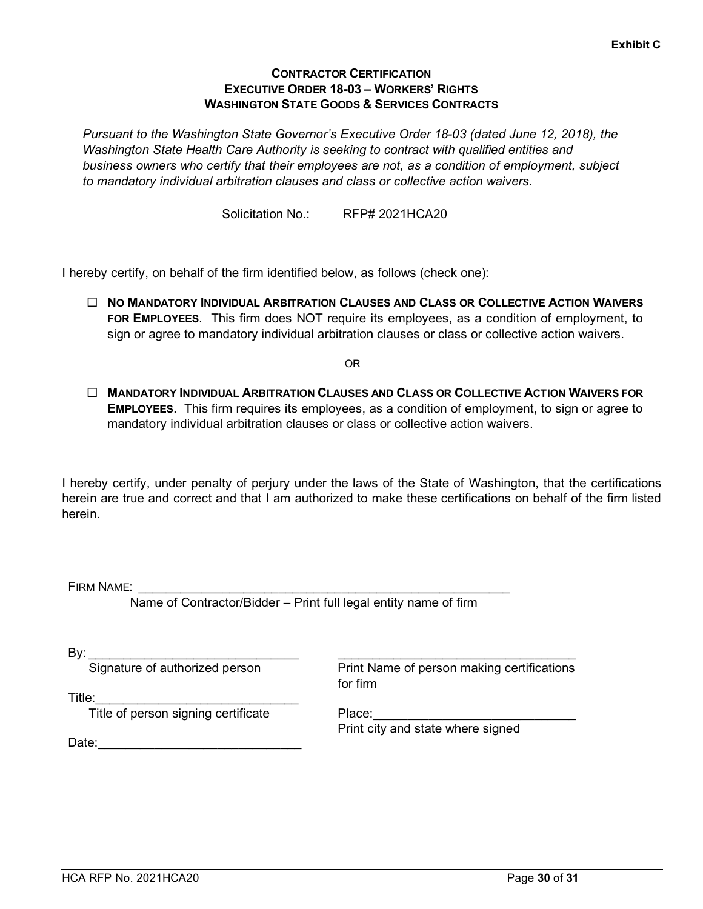#### **CONTRACTOR CERTIFICATION EXECUTIVE ORDER 18-03 – WORKERS' RIGHTS WASHINGTON STATE GOODS & SERVICES CONTRACTS**

*Pursuant to the Washington State Governor's Executive Order 18-03 (dated June 12, 2018), the Washington State Health Care Authority is seeking to contract with qualified entities and business owners who certify that their employees are not, as a condition of employment, subject to mandatory individual arbitration clauses and class or collective action waivers.*

Solicitation No.: RFP# 2021HCA20

I hereby certify, on behalf of the firm identified below, as follows (check one):

 **NO MANDATORY INDIVIDUAL ARBITRATION CLAUSES AND CLASS OR COLLECTIVE ACTION WAIVERS FOR EMPLOYEES**. This firm does NOT require its employees, as a condition of employment, to sign or agree to mandatory individual arbitration clauses or class or collective action waivers.

OR

 **MANDATORY INDIVIDUAL ARBITRATION CLAUSES AND CLASS OR COLLECTIVE ACTION WAIVERS FOR EMPLOYEES**. This firm requires its employees, as a condition of employment, to sign or agree to mandatory individual arbitration clauses or class or collective action waivers.

I hereby certify, under penalty of perjury under the laws of the State of Washington, that the certifications herein are true and correct and that I am authorized to make these certifications on behalf of the firm listed herein.

FIRM NAME:

Name of Contractor/Bidder – Print full legal entity name of firm

By: \_\_\_\_\_\_\_\_\_\_\_\_\_\_\_\_\_\_\_\_\_\_\_\_\_\_\_\_\_\_

Signature of authorized person

Print Name of person making certifications for firm

\_\_\_\_\_\_\_\_\_\_\_\_\_\_\_\_\_\_\_\_\_\_\_\_\_\_\_\_\_\_\_\_\_\_

Title:  $\overline{\phantom{a}}$ 

Title of person signing certificate

Print city and state where signed

Place:

 $Date:$